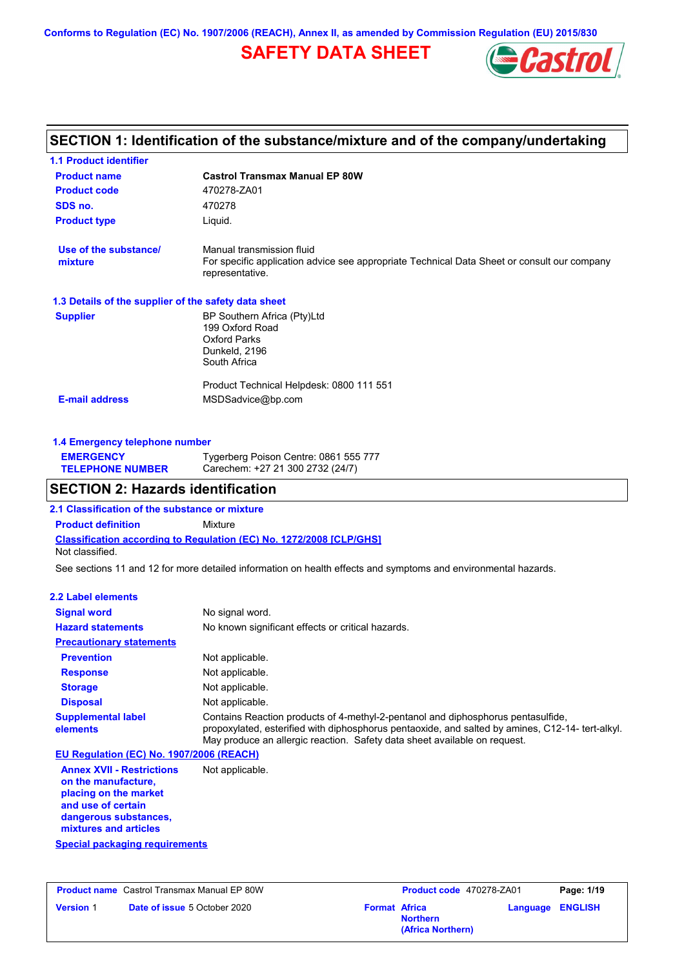**Conforms to Regulation (EC) No. 1907/2006 (REACH), Annex II, as amended by Commission Regulation (EU) 2015/830**

# **SAFETY DATA SHEET**



# **SECTION 1: Identification of the substance/mixture and of the company/undertaking**

| <b>1.1 Product identifier</b>                        |                                                                                                                                             |
|------------------------------------------------------|---------------------------------------------------------------------------------------------------------------------------------------------|
| <b>Product name</b>                                  | <b>Castrol Transmax Manual EP 80W</b>                                                                                                       |
| <b>Product code</b>                                  | 470278-ZA01                                                                                                                                 |
| SDS no.                                              | 470278                                                                                                                                      |
| <b>Product type</b>                                  | Liquid.                                                                                                                                     |
| Use of the substance/<br>mixture                     | Manual transmission fluid<br>For specific application advice see appropriate Technical Data Sheet or consult our company<br>representative. |
| 1.3 Details of the supplier of the safety data sheet |                                                                                                                                             |
| <b>Supplier</b>                                      | BP Southern Africa (Pty)Ltd<br>199 Oxford Road<br>Oxford Parks<br>Dunkeld, 2196<br>South Africa                                             |
| <b>E-mail address</b>                                | Product Technical Helpdesk: 0800 111 551<br>MSDSadvice@bp.com                                                                               |

| 1.4 Emergency telephone number |                                       |  |
|--------------------------------|---------------------------------------|--|
| <b>EMERGENCY</b>               | Tygerberg Poison Centre: 0861 555 777 |  |
| <b>TELEPHONE NUMBER</b>        | Carechem: +27 21 300 2732 (24/7)      |  |

# **SECTION 2: Hazards identification**

**2.1 Classification of the substance or mixture**

**Classification according to Regulation (EC) No. 1272/2008 [CLP/GHS] Product definition** Mixture Not classified.

See sections 11 and 12 for more detailed information on health effects and symptoms and environmental hazards.

#### **2.2 Label elements**

| <b>Signal word</b>                       | No signal word.                                                                                                                                                                                                                                                   |  |  |
|------------------------------------------|-------------------------------------------------------------------------------------------------------------------------------------------------------------------------------------------------------------------------------------------------------------------|--|--|
| <b>Hazard statements</b>                 | No known significant effects or critical hazards.                                                                                                                                                                                                                 |  |  |
| <b>Precautionary statements</b>          |                                                                                                                                                                                                                                                                   |  |  |
| <b>Prevention</b>                        | Not applicable.                                                                                                                                                                                                                                                   |  |  |
| <b>Response</b>                          | Not applicable.                                                                                                                                                                                                                                                   |  |  |
| <b>Storage</b>                           | Not applicable.                                                                                                                                                                                                                                                   |  |  |
| <b>Disposal</b>                          | Not applicable.                                                                                                                                                                                                                                                   |  |  |
| <b>Supplemental label</b><br>elements    | Contains Reaction products of 4-methyl-2-pentanol and diphosphorus pentasulfide.<br>propoxylated, esterified with diphosphorus pentaoxide, and salted by amines, C12-14- tert-alkyl.<br>May produce an allergic reaction. Safety data sheet available on request. |  |  |
| EU Regulation (EC) No. 1907/2006 (REACH) |                                                                                                                                                                                                                                                                   |  |  |
| Amper VIII Destrictions                  | Alat annliaahla                                                                                                                                                                                                                                                   |  |  |

**Annex XVII - Restrictions on the manufacture, placing on the market and use of certain dangerous substances, mixtures and articles** Not applicable.

**Special packaging requirements**

|                  | <b>Product name</b> Castrol Transmax Manual EP 80W |                      | Product code 470278-ZA01             | Page: 1/19              |
|------------------|----------------------------------------------------|----------------------|--------------------------------------|-------------------------|
| <b>Version 1</b> | <b>Date of issue 5 October 2020</b>                | <b>Format Africa</b> | <b>Northern</b><br>(Africa Northern) | <b>Language ENGLISH</b> |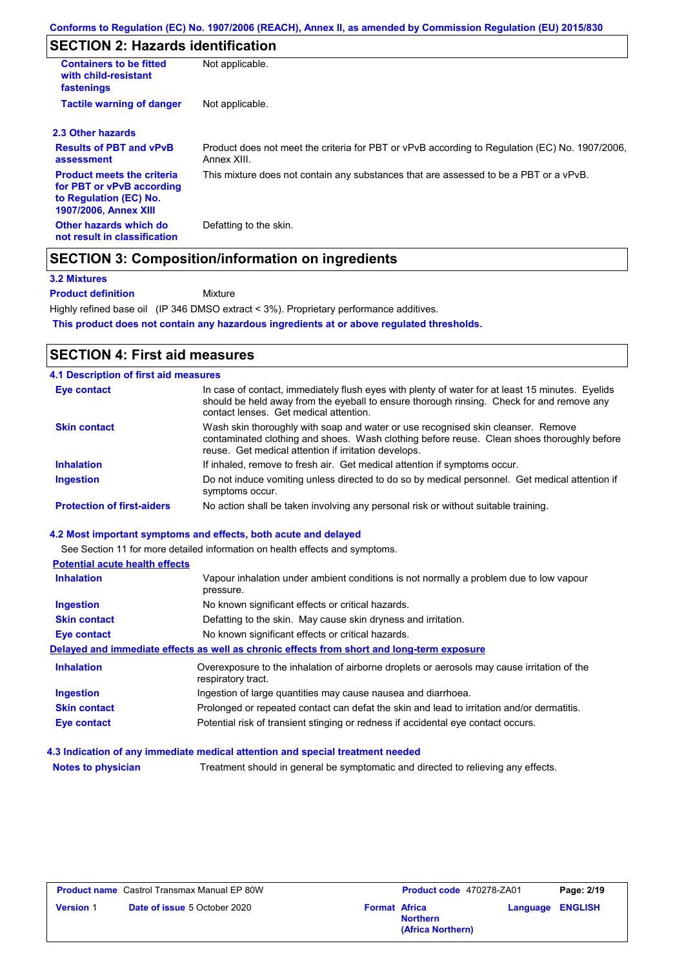# **SECTION 2: Hazards identification**

| <b>Containers to be fitted</b><br>with child-resistant<br>fastenings                                                     | Not applicable.                                                                                               |
|--------------------------------------------------------------------------------------------------------------------------|---------------------------------------------------------------------------------------------------------------|
| <b>Tactile warning of danger</b>                                                                                         | Not applicable.                                                                                               |
| 2.3 Other hazards                                                                                                        |                                                                                                               |
| <b>Results of PBT and vPvB</b><br>assessment                                                                             | Product does not meet the criteria for PBT or vPvB according to Regulation (EC) No. 1907/2006,<br>Annex XIII. |
| <b>Product meets the criteria</b><br>for PBT or vPvB according<br>to Regulation (EC) No.<br><b>1907/2006, Annex XIII</b> | This mixture does not contain any substances that are assessed to be a PBT or a vPvB.                         |
| Other hazards which do<br>not result in classification                                                                   | Defatting to the skin.                                                                                        |

### **SECTION 3: Composition/information on ingredients**

#### **3.2 Mixtures**

**Product definition**

Mixture

Highly refined base oil (IP 346 DMSO extract < 3%). Proprietary performance additives.

**This product does not contain any hazardous ingredients at or above regulated thresholds.**

# **SECTION 4: First aid measures**

| <b>4.1 Description of first aid measures</b> |                                                                                                                                                                                                                                         |
|----------------------------------------------|-----------------------------------------------------------------------------------------------------------------------------------------------------------------------------------------------------------------------------------------|
| Eye contact                                  | In case of contact, immediately flush eyes with plenty of water for at least 15 minutes. Eyelids<br>should be held away from the eyeball to ensure thorough rinsing. Check for and remove any<br>contact lenses. Get medical attention. |
| <b>Skin contact</b>                          | Wash skin thoroughly with soap and water or use recognised skin cleanser. Remove<br>contaminated clothing and shoes. Wash clothing before reuse. Clean shoes thoroughly before<br>reuse. Get medical attention if irritation develops.  |
| <b>Inhalation</b>                            | If inhaled, remove to fresh air. Get medical attention if symptoms occur.                                                                                                                                                               |
| <b>Ingestion</b>                             | Do not induce vomiting unless directed to do so by medical personnel. Get medical attention if<br>symptoms occur.                                                                                                                       |
| <b>Protection of first-aiders</b>            | No action shall be taken involving any personal risk or without suitable training.                                                                                                                                                      |

#### **4.2 Most important symptoms and effects, both acute and delayed**

|                                       | See Section 11 for more detailed information on health effects and symptoms.                                      |
|---------------------------------------|-------------------------------------------------------------------------------------------------------------------|
| <b>Potential acute health effects</b> |                                                                                                                   |
| <b>Inhalation</b>                     | Vapour inhalation under ambient conditions is not normally a problem due to low vapour<br>pressure.               |
| Ingestion                             | No known significant effects or critical hazards.                                                                 |
| <b>Skin contact</b>                   | Defatting to the skin. May cause skin dryness and irritation.                                                     |
| <b>Eye contact</b>                    | No known significant effects or critical hazards.                                                                 |
|                                       | Delayed and immediate effects as well as chronic effects from short and long-term exposure                        |
| <b>Inhalation</b>                     | Overexposure to the inhalation of airborne droplets or aerosols may cause irritation of the<br>respiratory tract. |
| <b>Ingestion</b>                      | Ingestion of large quantities may cause nausea and diarrhoea.                                                     |
| <b>Skin contact</b>                   | Prolonged or repeated contact can defat the skin and lead to irritation and/or dermatitis.                        |
| Eye contact                           | Potential risk of transient stinging or redness if accidental eye contact occurs.                                 |

**4.3 Indication of any immediate medical attention and special treatment needed**

**Notes to physician** Treatment should in general be symptomatic and directed to relieving any effects.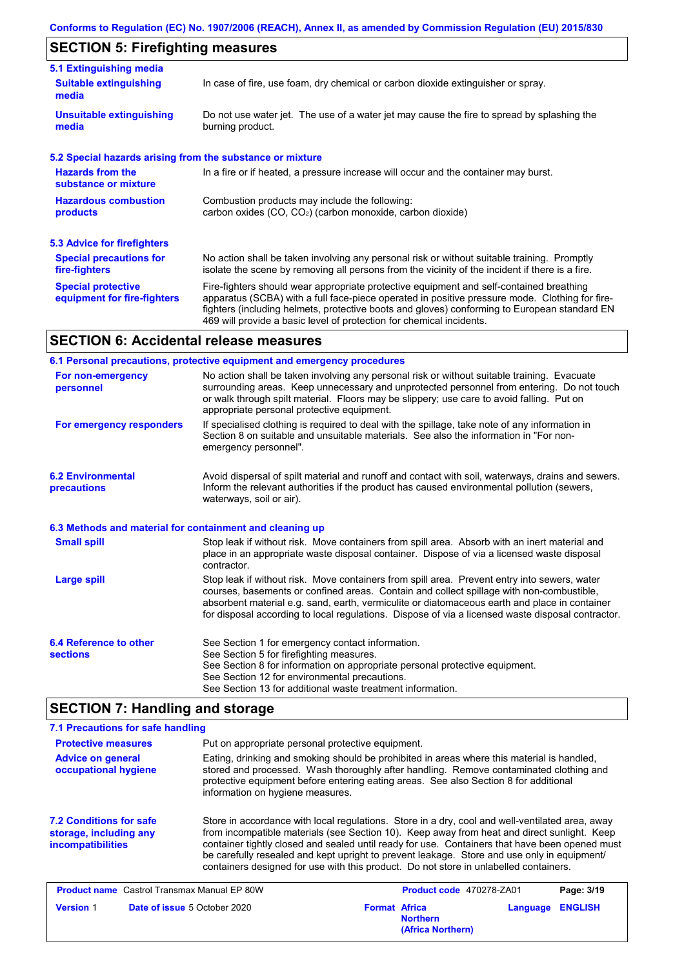# **SECTION 5: Firefighting measures**

| 5.1 Extinguishing media                                                                                                                                  |                                                                                                                                                                                                                                                                                                                                                                   |  |  |
|----------------------------------------------------------------------------------------------------------------------------------------------------------|-------------------------------------------------------------------------------------------------------------------------------------------------------------------------------------------------------------------------------------------------------------------------------------------------------------------------------------------------------------------|--|--|
| <b>Suitable extinguishing</b><br>media                                                                                                                   | In case of fire, use foam, dry chemical or carbon dioxide extinguisher or spray.                                                                                                                                                                                                                                                                                  |  |  |
| <b>Unsuitable extinguishing</b><br>media                                                                                                                 | Do not use water jet. The use of a water jet may cause the fire to spread by splashing the<br>burning product.                                                                                                                                                                                                                                                    |  |  |
| 5.2 Special hazards arising from the substance or mixture                                                                                                |                                                                                                                                                                                                                                                                                                                                                                   |  |  |
| <b>Hazards from the</b><br>substance or mixture                                                                                                          | In a fire or if heated, a pressure increase will occur and the container may burst.                                                                                                                                                                                                                                                                               |  |  |
| <b>Hazardous combustion</b><br>Combustion products may include the following:<br>carbon oxides $(CO, CO2)$ (carbon monoxide, carbon dioxide)<br>products |                                                                                                                                                                                                                                                                                                                                                                   |  |  |
| 5.3 Advice for firefighters                                                                                                                              |                                                                                                                                                                                                                                                                                                                                                                   |  |  |
| <b>Special precautions for</b><br>fire-fighters                                                                                                          | No action shall be taken involving any personal risk or without suitable training. Promptly<br>isolate the scene by removing all persons from the vicinity of the incident if there is a fire.                                                                                                                                                                    |  |  |
| <b>Special protective</b><br>equipment for fire-fighters                                                                                                 | Fire-fighters should wear appropriate protective equipment and self-contained breathing<br>apparatus (SCBA) with a full face-piece operated in positive pressure mode. Clothing for fire-<br>fighters (including helmets, protective boots and gloves) conforming to European standard EN<br>469 will provide a basic level of protection for chemical incidents. |  |  |

# **SECTION 6: Accidental release measures**

|                                                          | 6.1 Personal precautions, protective equipment and emergency procedures                                                                                                                                                                                                                                                                                                                        |  |  |
|----------------------------------------------------------|------------------------------------------------------------------------------------------------------------------------------------------------------------------------------------------------------------------------------------------------------------------------------------------------------------------------------------------------------------------------------------------------|--|--|
| For non-emergency<br>personnel                           | No action shall be taken involving any personal risk or without suitable training. Evacuate<br>surrounding areas. Keep unnecessary and unprotected personnel from entering. Do not touch<br>or walk through spilt material. Floors may be slippery; use care to avoid falling. Put on<br>appropriate personal protective equipment.                                                            |  |  |
| For emergency responders                                 | If specialised clothing is required to deal with the spillage, take note of any information in<br>Section 8 on suitable and unsuitable materials. See also the information in "For non-<br>emergency personnel".                                                                                                                                                                               |  |  |
| <b>6.2 Environmental</b><br><b>precautions</b>           | Avoid dispersal of spilt material and runoff and contact with soil, waterways, drains and sewers.<br>Inform the relevant authorities if the product has caused environmental pollution (sewers,<br>waterways, soil or air).                                                                                                                                                                    |  |  |
| 6.3 Methods and material for containment and cleaning up |                                                                                                                                                                                                                                                                                                                                                                                                |  |  |
| <b>Small spill</b>                                       | Stop leak if without risk. Move containers from spill area. Absorb with an inert material and<br>place in an appropriate waste disposal container. Dispose of via a licensed waste disposal<br>contractor.                                                                                                                                                                                     |  |  |
| <b>Large spill</b>                                       | Stop leak if without risk. Move containers from spill area. Prevent entry into sewers, water<br>courses, basements or confined areas. Contain and collect spillage with non-combustible,<br>absorbent material e.g. sand, earth, vermiculite or diatomaceous earth and place in container<br>for disposal according to local regulations. Dispose of via a licensed waste disposal contractor. |  |  |
| 6.4 Reference to other<br><b>sections</b>                | See Section 1 for emergency contact information.<br>See Section 5 for firefighting measures.<br>See Section 8 for information on appropriate personal protective equipment.<br>See Section 12 for environmental precautions.<br>See Section 13 for additional waste treatment information.                                                                                                     |  |  |

# **SECTION 7: Handling and storage**

| 7.1 Precautions for safe handling                                                    |                                                                                                                                                                                                                                                                                                                                                                                                                                                                                          |                                                                                                                                                                                                                                                                              |                                      |          |                |
|--------------------------------------------------------------------------------------|------------------------------------------------------------------------------------------------------------------------------------------------------------------------------------------------------------------------------------------------------------------------------------------------------------------------------------------------------------------------------------------------------------------------------------------------------------------------------------------|------------------------------------------------------------------------------------------------------------------------------------------------------------------------------------------------------------------------------------------------------------------------------|--------------------------------------|----------|----------------|
| <b>Protective measures</b>                                                           | Put on appropriate personal protective equipment.                                                                                                                                                                                                                                                                                                                                                                                                                                        |                                                                                                                                                                                                                                                                              |                                      |          |                |
| <b>Advice on general</b><br>occupational hygiene<br>information on hygiene measures. |                                                                                                                                                                                                                                                                                                                                                                                                                                                                                          | Eating, drinking and smoking should be prohibited in areas where this material is handled,<br>stored and processed. Wash thoroughly after handling. Remove contaminated clothing and<br>protective equipment before entering eating areas. See also Section 8 for additional |                                      |          |                |
| <b>7.2 Conditions for safe</b><br>storage, including any<br><i>incompatibilities</i> | Store in accordance with local regulations. Store in a dry, cool and well-ventilated area, away<br>from incompatible materials (see Section 10). Keep away from heat and direct sunlight. Keep<br>container tightly closed and sealed until ready for use. Containers that have been opened must<br>be carefully resealed and kept upright to prevent leakage. Store and use only in equipment/<br>containers designed for use with this product. Do not store in unlabelled containers. |                                                                                                                                                                                                                                                                              |                                      |          |                |
| <b>Product name</b> Castrol Transmax Manual EP 80W                                   |                                                                                                                                                                                                                                                                                                                                                                                                                                                                                          |                                                                                                                                                                                                                                                                              | Product code 470278-ZA01             |          | Page: 3/19     |
| <b>Version 1</b>                                                                     | <b>Date of issue 5 October 2020</b>                                                                                                                                                                                                                                                                                                                                                                                                                                                      | <b>Format Africa</b>                                                                                                                                                                                                                                                         | <b>Northern</b><br>(Africa Northern) | Language | <b>ENGLISH</b> |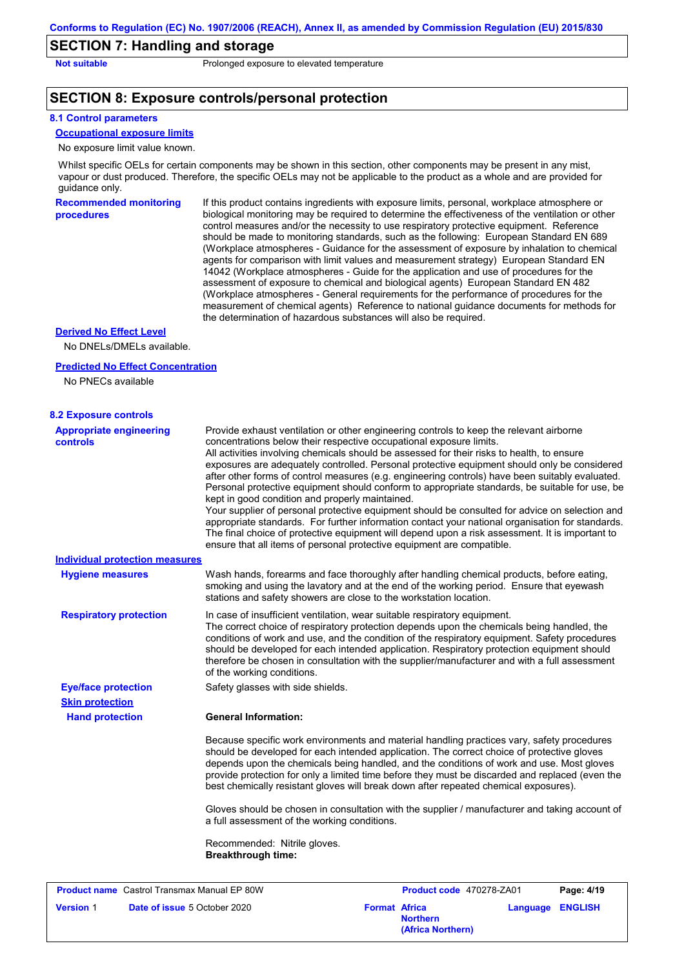### **SECTION 7: Handling and storage**

**Not suitable Not suitable** Prolonged exposure to elevated temperature

### **SECTION 8: Exposure controls/personal protection**

#### **8.1 Control parameters**

# **Occupational exposure limits**

No exposure limit value known.

Whilst specific OELs for certain components may be shown in this section, other components may be present in any mist, vapour or dust produced. Therefore, the specific OELs may not be applicable to the product as a whole and are provided for guidance only.

**Recommended monitoring procedures**

If this product contains ingredients with exposure limits, personal, workplace atmosphere or biological monitoring may be required to determine the effectiveness of the ventilation or other control measures and/or the necessity to use respiratory protective equipment. Reference should be made to monitoring standards, such as the following: European Standard EN 689 (Workplace atmospheres - Guidance for the assessment of exposure by inhalation to chemical agents for comparison with limit values and measurement strategy) European Standard EN 14042 (Workplace atmospheres - Guide for the application and use of procedures for the assessment of exposure to chemical and biological agents) European Standard EN 482 (Workplace atmospheres - General requirements for the performance of procedures for the measurement of chemical agents) Reference to national guidance documents for methods for the determination of hazardous substances will also be required.

#### **Derived No Effect Level**

No DNELs/DMELs available.

#### **Predicted No Effect Concentration**

No PNECs available

| <b>8.2 Exposure controls</b>                       |                                                                                                                                                                                                                                                                                                                                                                                                                                                                                                                                                                                                                                                                                                                                                                                                                                                                                                                                                                                                         |  |  |  |  |
|----------------------------------------------------|---------------------------------------------------------------------------------------------------------------------------------------------------------------------------------------------------------------------------------------------------------------------------------------------------------------------------------------------------------------------------------------------------------------------------------------------------------------------------------------------------------------------------------------------------------------------------------------------------------------------------------------------------------------------------------------------------------------------------------------------------------------------------------------------------------------------------------------------------------------------------------------------------------------------------------------------------------------------------------------------------------|--|--|--|--|
| <b>Appropriate engineering</b><br><b>controls</b>  | Provide exhaust ventilation or other engineering controls to keep the relevant airborne<br>concentrations below their respective occupational exposure limits.<br>All activities involving chemicals should be assessed for their risks to health, to ensure<br>exposures are adequately controlled. Personal protective equipment should only be considered<br>after other forms of control measures (e.g. engineering controls) have been suitably evaluated.<br>Personal protective equipment should conform to appropriate standards, be suitable for use, be<br>kept in good condition and properly maintained.<br>Your supplier of personal protective equipment should be consulted for advice on selection and<br>appropriate standards. For further information contact your national organisation for standards.<br>The final choice of protective equipment will depend upon a risk assessment. It is important to<br>ensure that all items of personal protective equipment are compatible. |  |  |  |  |
| <b>Individual protection measures</b>              |                                                                                                                                                                                                                                                                                                                                                                                                                                                                                                                                                                                                                                                                                                                                                                                                                                                                                                                                                                                                         |  |  |  |  |
| <b>Hygiene measures</b>                            | Wash hands, forearms and face thoroughly after handling chemical products, before eating,<br>smoking and using the lavatory and at the end of the working period. Ensure that eyewash<br>stations and safety showers are close to the workstation location.                                                                                                                                                                                                                                                                                                                                                                                                                                                                                                                                                                                                                                                                                                                                             |  |  |  |  |
| <b>Respiratory protection</b>                      | In case of insufficient ventilation, wear suitable respiratory equipment.<br>The correct choice of respiratory protection depends upon the chemicals being handled, the<br>conditions of work and use, and the condition of the respiratory equipment. Safety procedures<br>should be developed for each intended application. Respiratory protection equipment should<br>therefore be chosen in consultation with the supplier/manufacturer and with a full assessment<br>of the working conditions.                                                                                                                                                                                                                                                                                                                                                                                                                                                                                                   |  |  |  |  |
| <b>Eye/face protection</b>                         | Safety glasses with side shields.                                                                                                                                                                                                                                                                                                                                                                                                                                                                                                                                                                                                                                                                                                                                                                                                                                                                                                                                                                       |  |  |  |  |
| <b>Skin protection</b>                             |                                                                                                                                                                                                                                                                                                                                                                                                                                                                                                                                                                                                                                                                                                                                                                                                                                                                                                                                                                                                         |  |  |  |  |
| <b>Hand protection</b>                             | <b>General Information:</b>                                                                                                                                                                                                                                                                                                                                                                                                                                                                                                                                                                                                                                                                                                                                                                                                                                                                                                                                                                             |  |  |  |  |
|                                                    | Because specific work environments and material handling practices vary, safety procedures<br>should be developed for each intended application. The correct choice of protective gloves<br>depends upon the chemicals being handled, and the conditions of work and use. Most gloves<br>provide protection for only a limited time before they must be discarded and replaced (even the<br>best chemically resistant gloves will break down after repeated chemical exposures).                                                                                                                                                                                                                                                                                                                                                                                                                                                                                                                        |  |  |  |  |
|                                                    | Gloves should be chosen in consultation with the supplier / manufacturer and taking account of<br>a full assessment of the working conditions.                                                                                                                                                                                                                                                                                                                                                                                                                                                                                                                                                                                                                                                                                                                                                                                                                                                          |  |  |  |  |
|                                                    | Recommended: Nitrile gloves.<br><b>Breakthrough time:</b>                                                                                                                                                                                                                                                                                                                                                                                                                                                                                                                                                                                                                                                                                                                                                                                                                                                                                                                                               |  |  |  |  |
| <b>Product name</b> Castrol Transmax Manual EP 80W | Product code 470278-ZA01<br>Page: 4/19                                                                                                                                                                                                                                                                                                                                                                                                                                                                                                                                                                                                                                                                                                                                                                                                                                                                                                                                                                  |  |  |  |  |
| <b>Version 1</b>                                   | Date of issue 5 October 2020<br><b>Format Africa</b><br><b>ENGLISH</b><br>Language                                                                                                                                                                                                                                                                                                                                                                                                                                                                                                                                                                                                                                                                                                                                                                                                                                                                                                                      |  |  |  |  |

**Northern**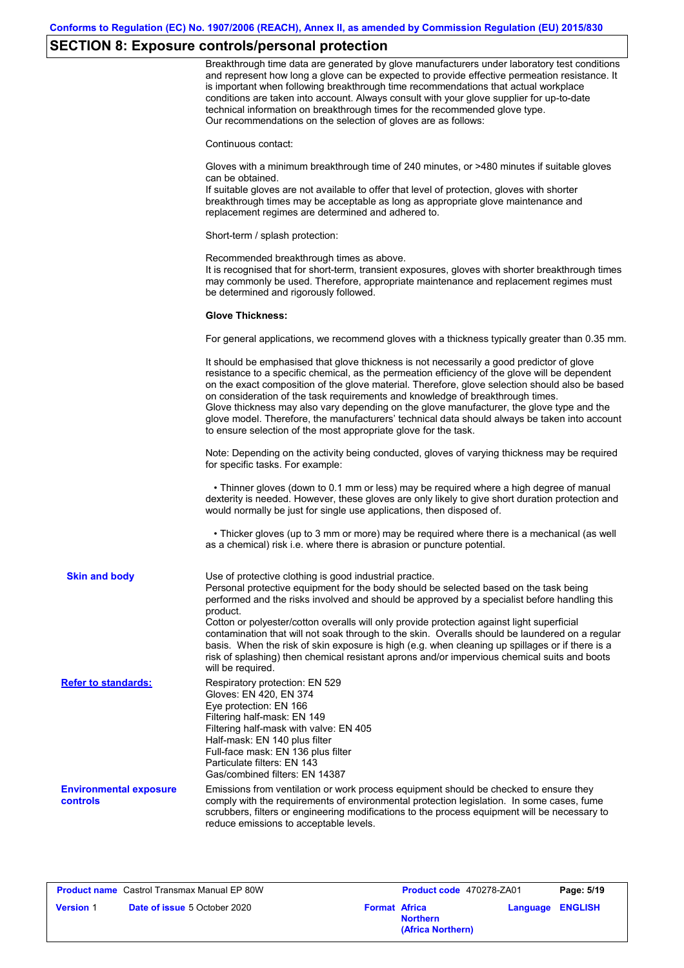# **SECTION 8: Exposure controls/personal protection**

|                                           | Breakthrough time data are generated by glove manufacturers under laboratory test conditions<br>and represent how long a glove can be expected to provide effective permeation resistance. It<br>is important when following breakthrough time recommendations that actual workplace<br>conditions are taken into account. Always consult with your glove supplier for up-to-date<br>technical information on breakthrough times for the recommended glove type.<br>Our recommendations on the selection of gloves are as follows:                                                                                                                                                    |
|-------------------------------------------|---------------------------------------------------------------------------------------------------------------------------------------------------------------------------------------------------------------------------------------------------------------------------------------------------------------------------------------------------------------------------------------------------------------------------------------------------------------------------------------------------------------------------------------------------------------------------------------------------------------------------------------------------------------------------------------|
|                                           | Continuous contact:                                                                                                                                                                                                                                                                                                                                                                                                                                                                                                                                                                                                                                                                   |
|                                           | Gloves with a minimum breakthrough time of 240 minutes, or >480 minutes if suitable gloves<br>can be obtained.<br>If suitable gloves are not available to offer that level of protection, gloves with shorter<br>breakthrough times may be acceptable as long as appropriate glove maintenance and<br>replacement regimes are determined and adhered to.                                                                                                                                                                                                                                                                                                                              |
|                                           | Short-term / splash protection:                                                                                                                                                                                                                                                                                                                                                                                                                                                                                                                                                                                                                                                       |
|                                           | Recommended breakthrough times as above.<br>It is recognised that for short-term, transient exposures, gloves with shorter breakthrough times<br>may commonly be used. Therefore, appropriate maintenance and replacement regimes must<br>be determined and rigorously followed.                                                                                                                                                                                                                                                                                                                                                                                                      |
|                                           | <b>Glove Thickness:</b>                                                                                                                                                                                                                                                                                                                                                                                                                                                                                                                                                                                                                                                               |
|                                           | For general applications, we recommend gloves with a thickness typically greater than 0.35 mm.                                                                                                                                                                                                                                                                                                                                                                                                                                                                                                                                                                                        |
|                                           | It should be emphasised that glove thickness is not necessarily a good predictor of glove<br>resistance to a specific chemical, as the permeation efficiency of the glove will be dependent<br>on the exact composition of the glove material. Therefore, glove selection should also be based<br>on consideration of the task requirements and knowledge of breakthrough times.<br>Glove thickness may also vary depending on the glove manufacturer, the glove type and the<br>glove model. Therefore, the manufacturers' technical data should always be taken into account<br>to ensure selection of the most appropriate glove for the task.                                     |
|                                           | Note: Depending on the activity being conducted, gloves of varying thickness may be required<br>for specific tasks. For example:                                                                                                                                                                                                                                                                                                                                                                                                                                                                                                                                                      |
|                                           | • Thinner gloves (down to 0.1 mm or less) may be required where a high degree of manual<br>dexterity is needed. However, these gloves are only likely to give short duration protection and<br>would normally be just for single use applications, then disposed of.                                                                                                                                                                                                                                                                                                                                                                                                                  |
|                                           | • Thicker gloves (up to 3 mm or more) may be required where there is a mechanical (as well<br>as a chemical) risk i.e. where there is abrasion or puncture potential.                                                                                                                                                                                                                                                                                                                                                                                                                                                                                                                 |
| <b>Skin and body</b>                      | Use of protective clothing is good industrial practice.<br>Personal protective equipment for the body should be selected based on the task being<br>performed and the risks involved and should be approved by a specialist before handling this<br>product.<br>Cotton or polyester/cotton overalls will only provide protection against light superficial<br>contamination that will not soak through to the skin. Overalls should be laundered on a regular<br>basis. When the risk of skin exposure is high (e.g. when cleaning up spillages or if there is a<br>risk of splashing) then chemical resistant aprons and/or impervious chemical suits and boots<br>will be required. |
| <b>Refer to standards:</b>                | Respiratory protection: EN 529<br>Gloves: EN 420, EN 374<br>Eye protection: EN 166<br>Filtering half-mask: EN 149<br>Filtering half-mask with valve: EN 405<br>Half-mask: EN 140 plus filter<br>Full-face mask: EN 136 plus filter<br>Particulate filters: EN 143<br>Gas/combined filters: EN 14387                                                                                                                                                                                                                                                                                                                                                                                   |
| <b>Environmental exposure</b><br>controls | Emissions from ventilation or work process equipment should be checked to ensure they<br>comply with the requirements of environmental protection legislation. In some cases, fume<br>scrubbers, filters or engineering modifications to the process equipment will be necessary to<br>reduce emissions to acceptable levels.                                                                                                                                                                                                                                                                                                                                                         |

|                  | <b>Product name</b> Castrol Transmax Manual EP 80W |                      | Product code 470278-ZA01             |          | Page: 5/19     |
|------------------|----------------------------------------------------|----------------------|--------------------------------------|----------|----------------|
| <b>Version 1</b> | <b>Date of issue</b> 5 October 2020                | <b>Format Africa</b> | <b>Northern</b><br>(Africa Northern) | Language | <b>ENGLISH</b> |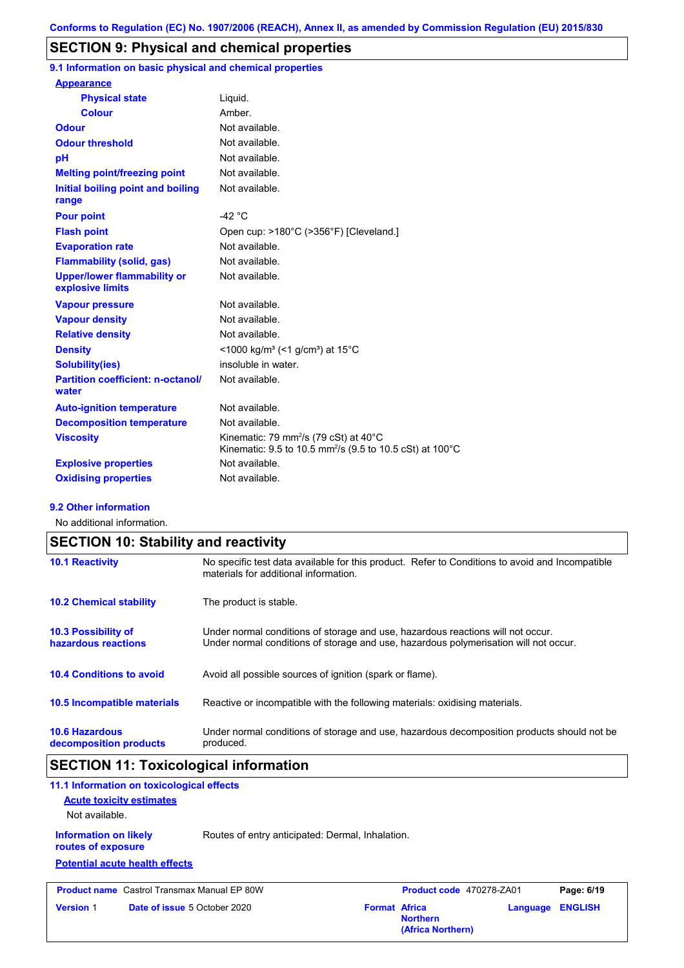# **SECTION 9: Physical and chemical properties**

**9.1 Information on basic physical and chemical properties**

| <b>Appearance</b>                                      |                                                                                                                                      |
|--------------------------------------------------------|--------------------------------------------------------------------------------------------------------------------------------------|
| <b>Physical state</b>                                  | Liguid.                                                                                                                              |
| <b>Colour</b>                                          | Amber.                                                                                                                               |
| <b>Odour</b>                                           | Not available.                                                                                                                       |
| <b>Odour threshold</b>                                 | Not available.                                                                                                                       |
| рH                                                     | Not available.                                                                                                                       |
| <b>Melting point/freezing point</b>                    | Not available.                                                                                                                       |
| Initial boiling point and boiling<br>range             | Not available.                                                                                                                       |
| <b>Pour point</b>                                      | $-42$ °C                                                                                                                             |
| <b>Flash point</b>                                     | Open cup: >180°C (>356°F) [Cleveland.]                                                                                               |
| <b>Evaporation rate</b>                                | Not available.                                                                                                                       |
| <b>Flammability (solid, gas)</b>                       | Not available.                                                                                                                       |
| <b>Upper/lower flammability or</b><br>explosive limits | Not available.                                                                                                                       |
| <b>Vapour pressure</b>                                 | Not available.                                                                                                                       |
| <b>Vapour density</b>                                  | Not available.                                                                                                                       |
| <b>Relative density</b>                                | Not available.                                                                                                                       |
| <b>Density</b>                                         | <1000 kg/m <sup>3</sup> (<1 g/cm <sup>3</sup> ) at 15 <sup>°</sup> C                                                                 |
| Solubility(ies)                                        | insoluble in water.                                                                                                                  |
| <b>Partition coefficient: n-octanol/</b><br>water      | Not available.                                                                                                                       |
| <b>Auto-ignition temperature</b>                       | Not available.                                                                                                                       |
| <b>Decomposition temperature</b>                       | Not available.                                                                                                                       |
| <b>Viscosity</b>                                       | Kinematic: 79 mm <sup>2</sup> /s (79 cSt) at $40^{\circ}$ C<br>Kinematic: 9.5 to 10.5 mm <sup>2</sup> /s (9.5 to 10.5 cSt) at 100 °C |
| <b>Explosive properties</b>                            | Not available                                                                                                                        |
| <b>Oxidising properties</b>                            | Not available.                                                                                                                       |

#### **9.2 Other information**

No additional information.

| <b>SECTION 10: Stability and reactivity</b>       |                                                                                                                                                                         |  |  |  |
|---------------------------------------------------|-------------------------------------------------------------------------------------------------------------------------------------------------------------------------|--|--|--|
| <b>10.1 Reactivity</b>                            | No specific test data available for this product. Refer to Conditions to avoid and Incompatible<br>materials for additional information.                                |  |  |  |
| <b>10.2 Chemical stability</b>                    | The product is stable.                                                                                                                                                  |  |  |  |
| <b>10.3 Possibility of</b><br>hazardous reactions | Under normal conditions of storage and use, hazardous reactions will not occur.<br>Under normal conditions of storage and use, hazardous polymerisation will not occur. |  |  |  |
| <b>10.4 Conditions to avoid</b>                   | Avoid all possible sources of ignition (spark or flame).                                                                                                                |  |  |  |
| <b>10.5 Incompatible materials</b>                | Reactive or incompatible with the following materials: oxidising materials.                                                                                             |  |  |  |
| <b>10.6 Hazardous</b><br>decomposition products   | Under normal conditions of storage and use, hazardous decomposition products should not be<br>produced.                                                                 |  |  |  |

# **SECTION 11: Toxicological information**

| 11.1 Information on toxicological effects          |                                 |                                                    |                      |                          |          |                |
|----------------------------------------------------|---------------------------------|----------------------------------------------------|----------------------|--------------------------|----------|----------------|
|                                                    | <b>Acute toxicity estimates</b> |                                                    |                      |                          |          |                |
| Not available.                                     |                                 |                                                    |                      |                          |          |                |
| <b>Information on likely</b><br>routes of exposure |                                 | Routes of entry anticipated: Dermal, Inhalation.   |                      |                          |          |                |
| <b>Potential acute health effects</b>              |                                 |                                                    |                      |                          |          |                |
|                                                    |                                 | <b>Product name</b> Castrol Transmax Manual EP 80W |                      | Product code 470278-ZA01 |          | Page: 6/19     |
| <b>Version 1</b>                                   |                                 | <b>Date of issue 5 October 2020</b>                | <b>Format Africa</b> | <b>Northern</b>          | Language | <b>ENGLISH</b> |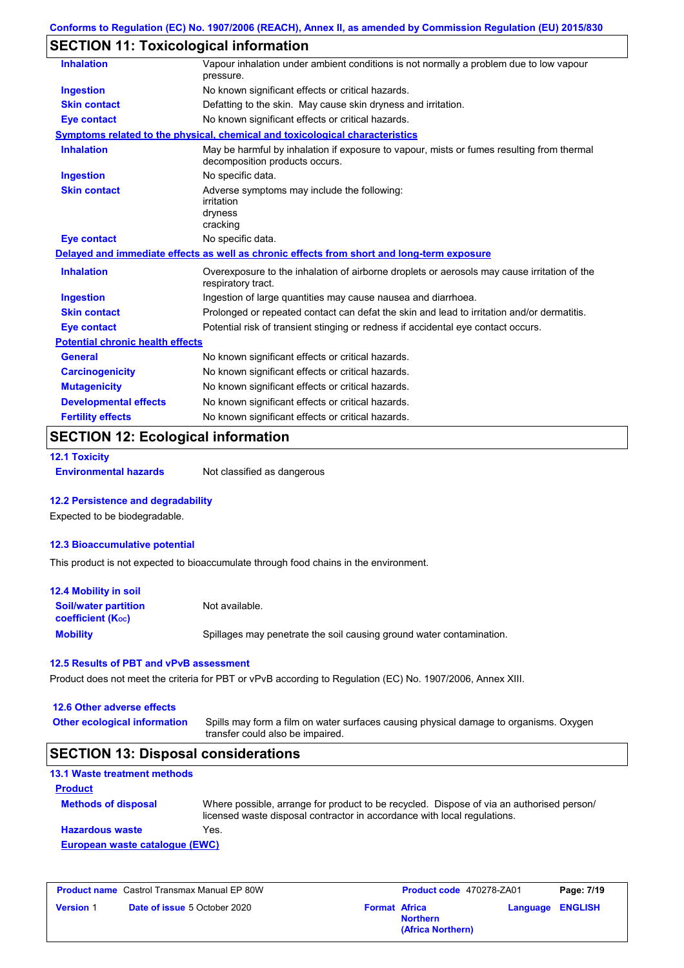# **SECTION 11: Toxicological information**

| <b>Inhalation</b>                       | Vapour inhalation under ambient conditions is not normally a problem due to low vapour<br>pressure.                         |
|-----------------------------------------|-----------------------------------------------------------------------------------------------------------------------------|
| <b>Ingestion</b>                        | No known significant effects or critical hazards.                                                                           |
| <b>Skin contact</b>                     | Defatting to the skin. May cause skin dryness and irritation.                                                               |
| <b>Eye contact</b>                      | No known significant effects or critical hazards.                                                                           |
|                                         | Symptoms related to the physical, chemical and toxicological characteristics                                                |
| <b>Inhalation</b>                       | May be harmful by inhalation if exposure to vapour, mists or fumes resulting from thermal<br>decomposition products occurs. |
| <b>Ingestion</b>                        | No specific data.                                                                                                           |
| <b>Skin contact</b>                     | Adverse symptoms may include the following:<br>irritation<br>dryness<br>cracking                                            |
| <b>Eye contact</b>                      | No specific data.                                                                                                           |
|                                         | Delayed and immediate effects as well as chronic effects from short and long-term exposure                                  |
| <b>Inhalation</b>                       | Overexposure to the inhalation of airborne droplets or aerosols may cause irritation of the<br>respiratory tract.           |
| <b>Ingestion</b>                        | Ingestion of large quantities may cause nausea and diarrhoea.                                                               |
| <b>Skin contact</b>                     | Prolonged or repeated contact can defat the skin and lead to irritation and/or dermatitis.                                  |
| <b>Eye contact</b>                      | Potential risk of transient stinging or redness if accidental eye contact occurs.                                           |
| <b>Potential chronic health effects</b> |                                                                                                                             |
| <b>General</b>                          | No known significant effects or critical hazards.                                                                           |
| <b>Carcinogenicity</b>                  | No known significant effects or critical hazards.                                                                           |
| <b>Mutagenicity</b>                     | No known significant effects or critical hazards.                                                                           |
| <b>Developmental effects</b>            | No known significant effects or critical hazards.                                                                           |
| <b>Fertility effects</b>                | No known significant effects or critical hazards.                                                                           |
|                                         |                                                                                                                             |

# **SECTION 12: Ecological information**

**12.1 Toxicity**

**Environmental hazards** Not classified as dangerous

#### **12.2 Persistence and degradability**

Expected to be biodegradable.

#### **12.3 Bioaccumulative potential**

This product is not expected to bioaccumulate through food chains in the environment.

| <b>12.4 Mobility in soil</b>                                  |                                                                      |
|---------------------------------------------------------------|----------------------------------------------------------------------|
| <b>Soil/water partition</b><br>coefficient (K <sub>oc</sub> ) | Not available.                                                       |
| <b>Mobility</b>                                               | Spillages may penetrate the soil causing ground water contamination. |

#### **12.5 Results of PBT and vPvB assessment**

Product does not meet the criteria for PBT or vPvB according to Regulation (EC) No. 1907/2006, Annex XIII.

#### **12.6 Other adverse effects**

Spills may form a film on water surfaces causing physical damage to organisms. Oxygen transfer could also be impaired. **Other ecological information**

#### **SECTION 13: Disposal considerations**

| <b>Product</b>                 |                                                                                                                                                                      |
|--------------------------------|----------------------------------------------------------------------------------------------------------------------------------------------------------------------|
| <b>Methods of disposal</b>     | Where possible, arrange for product to be recycled. Dispose of via an authorised person/<br>licensed waste disposal contractor in accordance with local regulations. |
| <b>Hazardous waste</b>         | Yes.                                                                                                                                                                 |
| European waste catalogue (EWC) |                                                                                                                                                                      |

| <b>Product name</b> Castrol Transmax Manual EP 80W |                                     | <b>Product code</b> 470278-ZA01 |                                      | Page: 7/19 |                  |
|----------------------------------------------------|-------------------------------------|---------------------------------|--------------------------------------|------------|------------------|
| <b>Version 1</b>                                   | <b>Date of issue</b> 5 October 2020 | <b>Format Africa</b>            | <b>Northern</b><br>(Africa Northern) |            | Language ENGLISH |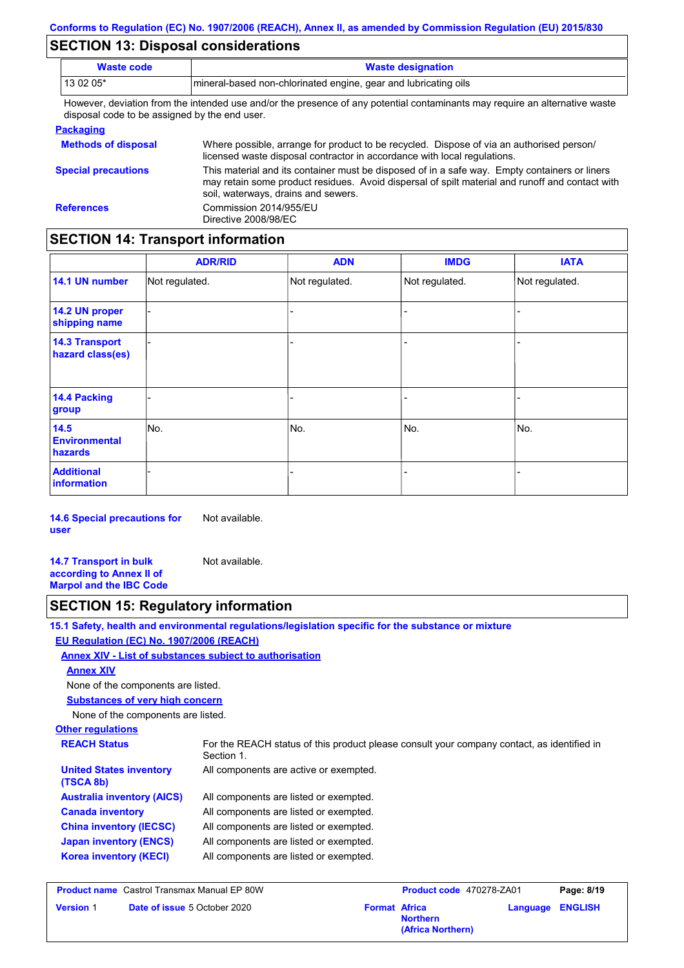# **SECTION 13: Disposal considerations**

| <b>Waste code</b>                                                                                                                                                            | <b>Waste designation</b>                                                                                                                                                                                                                |  |  |  |  |
|------------------------------------------------------------------------------------------------------------------------------------------------------------------------------|-----------------------------------------------------------------------------------------------------------------------------------------------------------------------------------------------------------------------------------------|--|--|--|--|
| 13 02 05*                                                                                                                                                                    | mineral-based non-chlorinated engine, gear and lubricating oils                                                                                                                                                                         |  |  |  |  |
| However, deviation from the intended use and/or the presence of any potential contaminants may require an alternative waste<br>disposal code to be assigned by the end user. |                                                                                                                                                                                                                                         |  |  |  |  |
| <b>Packaging</b>                                                                                                                                                             |                                                                                                                                                                                                                                         |  |  |  |  |
| <b>Methods of disposal</b>                                                                                                                                                   | Where possible, arrange for product to be recycled. Dispose of via an authorised person/<br>licensed waste disposal contractor in accordance with local regulations.                                                                    |  |  |  |  |
| <b>Special precautions</b>                                                                                                                                                   | This material and its container must be disposed of in a safe way. Empty containers or liners<br>may retain some product residues. Avoid dispersal of spilt material and runoff and contact with<br>soil, waterways, drains and sewers. |  |  |  |  |
| <b>References</b>                                                                                                                                                            | Commission 2014/955/EU<br>Directive 2008/98/EC                                                                                                                                                                                          |  |  |  |  |

# **SECTION 14: Transport information**

|                                           | <b>ADR/RID</b> | <b>ADN</b>     | <b>IMDG</b>    | <b>IATA</b>    |
|-------------------------------------------|----------------|----------------|----------------|----------------|
| 14.1 UN number                            | Not regulated. | Not regulated. | Not regulated. | Not regulated. |
| 14.2 UN proper<br>shipping name           |                |                | ۰              |                |
| <b>14.3 Transport</b><br>hazard class(es) |                |                | -              |                |
| 14.4 Packing<br>group                     |                |                |                |                |
| 14.5<br><b>Environmental</b><br>hazards   | No.            | No.            | No.            | No.            |
| <b>Additional</b><br><b>information</b>   |                |                |                |                |

**14.6 Special precautions for user** Not available.

**14.7 Transport in bulk according to Annex II of Marpol and the IBC Code** Not available.

# **SECTION 15: Regulatory information**

|                                                         | 15.1 Safety, health and environmental regulations/legislation specific for the substance or mixture      |
|---------------------------------------------------------|----------------------------------------------------------------------------------------------------------|
| EU Regulation (EC) No. 1907/2006 (REACH)                |                                                                                                          |
| Annex XIV - List of substances subject to authorisation |                                                                                                          |
| <b>Annex XIV</b>                                        |                                                                                                          |
| None of the components are listed.                      |                                                                                                          |
| <b>Substances of very high concern</b>                  |                                                                                                          |
| None of the components are listed.                      |                                                                                                          |
| <b>Other regulations</b>                                |                                                                                                          |
| <b>REACH Status</b>                                     | For the REACH status of this product please consult your company contact, as identified in<br>Section 1. |
| <b>United States inventory</b><br>(TSCA 8b)             | All components are active or exempted.                                                                   |
| <b>Australia inventory (AICS)</b>                       | All components are listed or exempted.                                                                   |
| <b>Canada inventory</b>                                 | All components are listed or exempted.                                                                   |
| <b>China inventory (IECSC)</b>                          | All components are listed or exempted.                                                                   |
| <b>Japan inventory (ENCS)</b>                           | All components are listed or exempted.                                                                   |
| <b>Korea inventory (KECI)</b>                           | All components are listed or exempted.                                                                   |
|                                                         |                                                                                                          |

| <b>Product name</b> Castrol Transmax Manual EP 80W |                                     |                      | <b>Product code</b> 470278-ZA01      |                         | Page: 8/19 |  |
|----------------------------------------------------|-------------------------------------|----------------------|--------------------------------------|-------------------------|------------|--|
| <b>Version 1</b>                                   | <b>Date of issue 5 October 2020</b> | <b>Format Africa</b> | <b>Northern</b><br>(Africa Northern) | <b>Language ENGLISH</b> |            |  |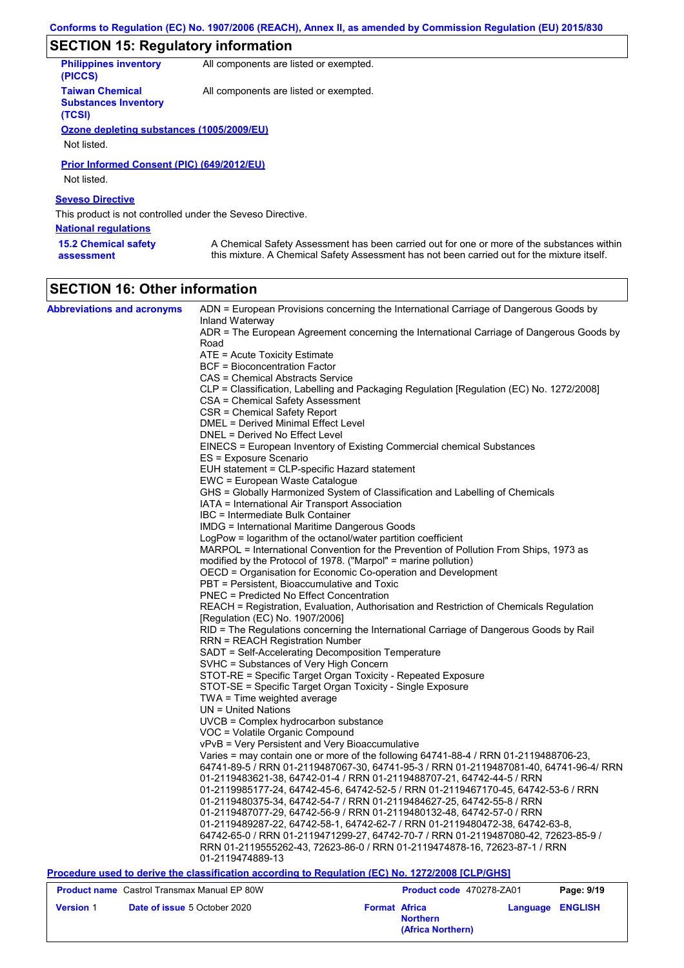# **SECTION 15: Regulatory information**

| <b>Philippines inventory</b><br>(PICCS)                         | All components are listed or exempted.                                                                                                                                                    |
|-----------------------------------------------------------------|-------------------------------------------------------------------------------------------------------------------------------------------------------------------------------------------|
| <b>Taiwan Chemical</b><br><b>Substances Inventory</b><br>(TCSI) | All components are listed or exempted.                                                                                                                                                    |
| Ozone depleting substances (1005/2009/EU)                       |                                                                                                                                                                                           |
| Not listed.                                                     |                                                                                                                                                                                           |
| Prior Informed Consent (PIC) (649/2012/EU)                      |                                                                                                                                                                                           |
| Not listed.                                                     |                                                                                                                                                                                           |
| <b>Seveso Directive</b>                                         |                                                                                                                                                                                           |
| This product is not controlled under the Seveso Directive.      |                                                                                                                                                                                           |
| <b>National regulations</b>                                     |                                                                                                                                                                                           |
| <b>15.2 Chemical safety</b><br>assessment                       | A Chemical Safety Assessment has been carried out for one or more of the substances within<br>this mixture. A Chemical Safety Assessment has not been carried out for the mixture itself. |

# **SECTION 16: Other information**

| <b>Abbreviations and acronyms</b>                  | ADN = European Provisions concerning the International Carriage of Dangerous Goods by<br>Inland Waterway                     |                          |                  |
|----------------------------------------------------|------------------------------------------------------------------------------------------------------------------------------|--------------------------|------------------|
|                                                    | ADR = The European Agreement concerning the International Carriage of Dangerous Goods by                                     |                          |                  |
|                                                    | Road                                                                                                                         |                          |                  |
|                                                    | ATE = Acute Toxicity Estimate                                                                                                |                          |                  |
|                                                    | <b>BCF</b> = Bioconcentration Factor                                                                                         |                          |                  |
|                                                    | CAS = Chemical Abstracts Service                                                                                             |                          |                  |
|                                                    | CLP = Classification, Labelling and Packaging Regulation [Regulation (EC) No. 1272/2008]<br>CSA = Chemical Safety Assessment |                          |                  |
|                                                    | CSR = Chemical Safety Report                                                                                                 |                          |                  |
|                                                    | DMEL = Derived Minimal Effect Level                                                                                          |                          |                  |
|                                                    | DNEL = Derived No Effect Level                                                                                               |                          |                  |
|                                                    | EINECS = European Inventory of Existing Commercial chemical Substances                                                       |                          |                  |
|                                                    | ES = Exposure Scenario<br>EUH statement = CLP-specific Hazard statement                                                      |                          |                  |
|                                                    | EWC = European Waste Catalogue                                                                                               |                          |                  |
|                                                    | GHS = Globally Harmonized System of Classification and Labelling of Chemicals                                                |                          |                  |
|                                                    | IATA = International Air Transport Association                                                                               |                          |                  |
|                                                    | IBC = Intermediate Bulk Container                                                                                            |                          |                  |
|                                                    | <b>IMDG = International Maritime Dangerous Goods</b>                                                                         |                          |                  |
|                                                    | LogPow = logarithm of the octanol/water partition coefficient                                                                |                          |                  |
|                                                    | MARPOL = International Convention for the Prevention of Pollution From Ships, 1973 as                                        |                          |                  |
|                                                    | modified by the Protocol of 1978. ("Marpol" = marine pollution)                                                              |                          |                  |
|                                                    | OECD = Organisation for Economic Co-operation and Development                                                                |                          |                  |
|                                                    | PBT = Persistent, Bioaccumulative and Toxic                                                                                  |                          |                  |
|                                                    | PNEC = Predicted No Effect Concentration                                                                                     |                          |                  |
|                                                    | REACH = Registration, Evaluation, Authorisation and Restriction of Chemicals Regulation                                      |                          |                  |
|                                                    | [Regulation (EC) No. 1907/2006]                                                                                              |                          |                  |
|                                                    | RID = The Regulations concerning the International Carriage of Dangerous Goods by Rail                                       |                          |                  |
|                                                    | <b>RRN = REACH Registration Number</b>                                                                                       |                          |                  |
|                                                    | SADT = Self-Accelerating Decomposition Temperature                                                                           |                          |                  |
|                                                    | SVHC = Substances of Very High Concern                                                                                       |                          |                  |
|                                                    | STOT-RE = Specific Target Organ Toxicity - Repeated Exposure                                                                 |                          |                  |
|                                                    | STOT-SE = Specific Target Organ Toxicity - Single Exposure                                                                   |                          |                  |
|                                                    | TWA = Time weighted average                                                                                                  |                          |                  |
|                                                    | $UN = United Nations$                                                                                                        |                          |                  |
|                                                    | UVCB = Complex hydrocarbon substance                                                                                         |                          |                  |
|                                                    | VOC = Volatile Organic Compound<br>vPvB = Very Persistent and Very Bioaccumulative                                           |                          |                  |
|                                                    | Varies = may contain one or more of the following 64741-88-4 / RRN 01-2119488706-23,                                         |                          |                  |
|                                                    | 64741-89-5 / RRN 01-2119487067-30, 64741-95-3 / RRN 01-2119487081-40, 64741-96-4/ RRN                                        |                          |                  |
|                                                    | 01-2119483621-38, 64742-01-4 / RRN 01-2119488707-21, 64742-44-5 / RRN                                                        |                          |                  |
|                                                    | 01-2119985177-24, 64742-45-6, 64742-52-5 / RRN 01-2119467170-45, 64742-53-6 / RRN                                            |                          |                  |
|                                                    | 01-2119480375-34, 64742-54-7 / RRN 01-2119484627-25, 64742-55-8 / RRN                                                        |                          |                  |
|                                                    | 01-2119487077-29, 64742-56-9 / RRN 01-2119480132-48, 64742-57-0 / RRN                                                        |                          |                  |
|                                                    | 01-2119489287-22, 64742-58-1, 64742-62-7 / RRN 01-2119480472-38, 64742-63-8,                                                 |                          |                  |
|                                                    | 64742-65-0 / RRN 01-2119471299-27, 64742-70-7 / RRN 01-2119487080-42, 72623-85-9 /                                           |                          |                  |
|                                                    | RRN 01-2119555262-43, 72623-86-0 / RRN 01-2119474878-16, 72623-87-1 / RRN                                                    |                          |                  |
|                                                    | 01-2119474889-13                                                                                                             |                          |                  |
|                                                    | Procedure used to derive the classification according to Regulation (EC) No. 1272/2008 [CLP/GHS]                             |                          |                  |
| <b>Product name</b> Castrol Transmax Manual EP 80W |                                                                                                                              | Product code 470278-ZA01 | Page: 9/19       |
| <b>Version 1</b>                                   | Date of issue 5 October 2020                                                                                                 | <b>Format Africa</b>     | Language ENGLISH |

**Northern**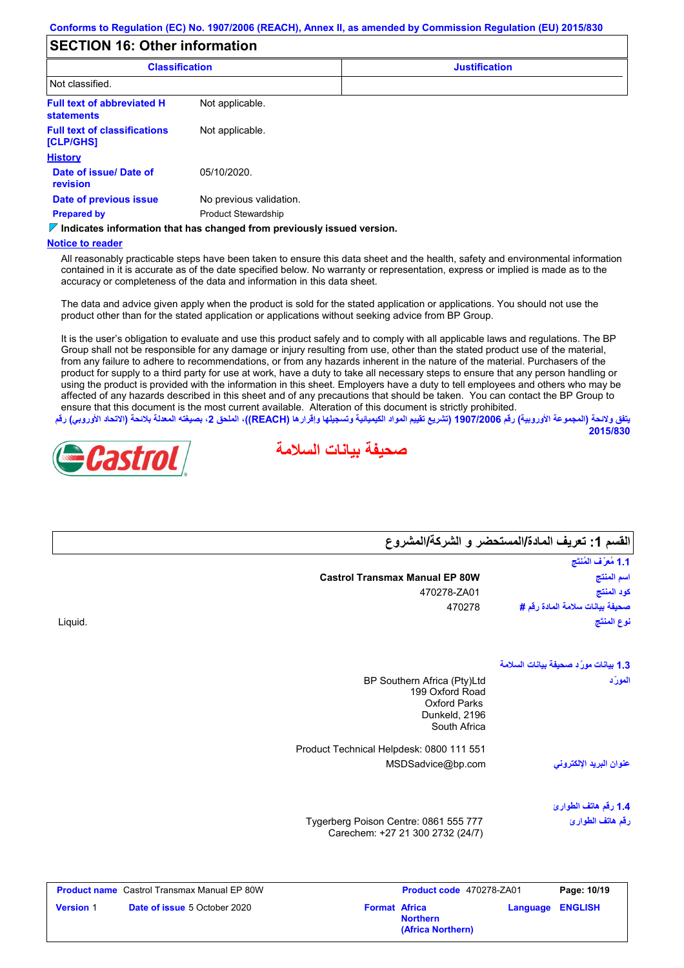# **SECTION 16: Other information**

| <b>Classification</b>                                  |                                                                                 | <b>Justification</b> |
|--------------------------------------------------------|---------------------------------------------------------------------------------|----------------------|
| Not classified.                                        |                                                                                 |                      |
| <b>Full text of abbreviated H</b><br><b>statements</b> | Not applicable.                                                                 |                      |
| <b>Full text of classifications</b><br>[CLP/GHS]       | Not applicable.                                                                 |                      |
| <b>History</b>                                         |                                                                                 |                      |
| Date of issue/Date of<br>revision                      | 05/10/2020.                                                                     |                      |
| Date of previous issue                                 | No previous validation.                                                         |                      |
| <b>Prepared by</b>                                     | <b>Product Stewardship</b>                                                      |                      |
|                                                        | $\nabla$ Indicates information that has changed from previously issued version. |                      |

#### **Notice to reader**

All reasonably practicable steps have been taken to ensure this data sheet and the health, safety and environmental information contained in it is accurate as of the date specified below. No warranty or representation, express or implied is made as to the accuracy or completeness of the data and information in this data sheet.

The data and advice given apply when the product is sold for the stated application or applications. You should not use the product other than for the stated application or applications without seeking advice from BP Group.

It is the user's obligation to evaluate and use this product safely and to comply with all applicable laws and regulations. The BP Group shall not be responsible for any damage or injury resulting from use, other than the stated product use of the material, from any failure to adhere to recommendations, or from any hazards inherent in the nature of the material. Purchasers of the product for supply to a third party for use at work, have a duty to take all necessary steps to ensure that any person handling or using the product is provided with the information in this sheet. Employers have a duty to tell employees and others who may be affected of any hazards described in this sheet and of any precautions that should be taken. You can contact the BP Group to ensure that this document is the most current available. Alteration of this document is strictly prohibited.

يتفق ولائحة (المجموعة الأوروبية) رقم 1907/2006 (تشريع تقييم المواد الكيميائية وتسجيلها وإقرارها (REACH)، الملحق 2، بصيغته المعدلة بلائحة (الاتحاد الأوروب*ي*) رقم **2015/830**





|                  |                                                    |                                                                                        | القسم 1: تعريف المادة/المستحضر و الشركة/المشروع |
|------------------|----------------------------------------------------|----------------------------------------------------------------------------------------|-------------------------------------------------|
|                  |                                                    |                                                                                        | 1.1 مُعرَّف المُنتَج                            |
|                  |                                                    | <b>Castrol Transmax Manual EP 80W</b>                                                  | اسم المنتج                                      |
|                  |                                                    | 470278-ZA01                                                                            | كود المنتج                                      |
|                  |                                                    | 470278                                                                                 | صحيفة بيانات سلامة المادة رقم #                 |
| Liquid.          |                                                    |                                                                                        | نوع المنتَج                                     |
|                  |                                                    |                                                                                        | 1.3 بيانات مورّد صحيفة بيانات السلامة           |
|                  |                                                    | BP Southern Africa (Pty)Ltd<br>199 Oxford Road<br><b>Oxford Parks</b><br>Dunkeld, 2196 | المورّد                                         |
|                  |                                                    | South Africa                                                                           |                                                 |
|                  |                                                    | Product Technical Helpdesk: 0800 111 551                                               |                                                 |
|                  |                                                    | MSDSadvice@bp.com                                                                      | عنوان البريد الإلكترونى                         |
|                  |                                                    |                                                                                        | 1.4 رقم هاتف الطوارئ                            |
|                  |                                                    | Tygerberg Poison Centre: 0861 555 777<br>Carechem: +27 21 300 2732 (24/7)              | رقم هاتف الطوارئ                                |
|                  | <b>Product name</b> Castrol Transmax Manual EP 80W | Product code 470278-ZA01                                                               | Page: 10/19                                     |
| <b>Version 1</b> | Date of issue 5 October 2020                       | <b>Format Africa</b>                                                                   | <b>ENGLISH</b><br>Language                      |

**Northern**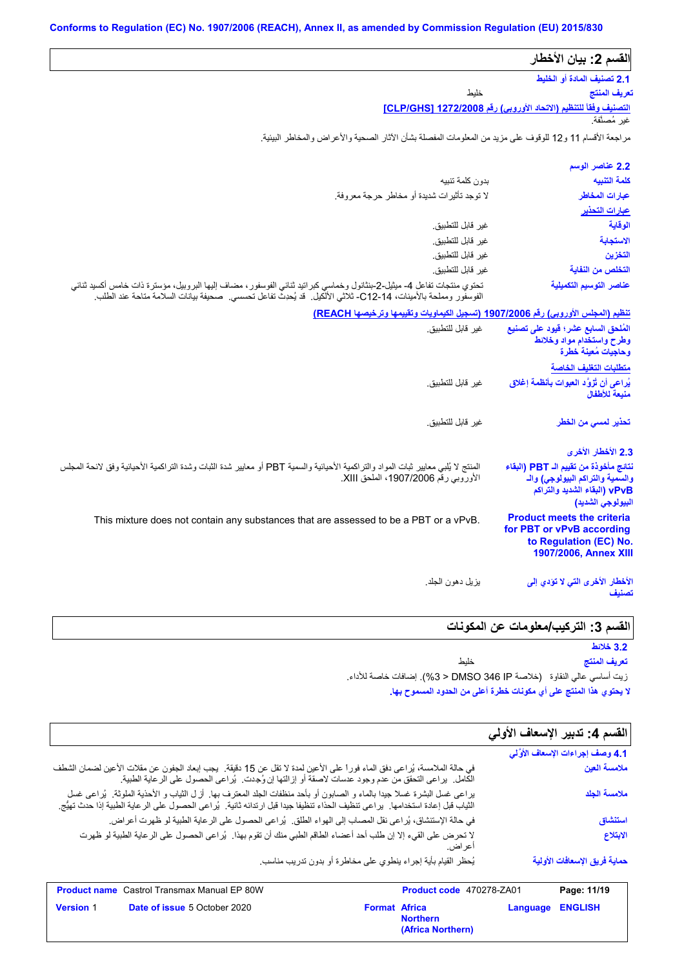| القسم 2: بيان الأخطار                                                                                                                  |                                                                                                                                                                                                                                            |
|----------------------------------------------------------------------------------------------------------------------------------------|--------------------------------------------------------------------------------------------------------------------------------------------------------------------------------------------------------------------------------------------|
| 2.1 تصنيف المادة أو الخليط                                                                                                             |                                                                                                                                                                                                                                            |
| تعريف المنتج                                                                                                                           | خلبط                                                                                                                                                                                                                                       |
| التصنيف وفقاً للتنظيم (الاتحاد الأوروبي) رقم 1272/2008 [CLP/GHS]                                                                       |                                                                                                                                                                                                                                            |
| غير مُصنَّفة.                                                                                                                          |                                                                                                                                                                                                                                            |
|                                                                                                                                        | مراجعة الأقسام 11 و12 للوقوف على مزيد من المعلومات المفصلة بشأن الآثار الصحية والأعراض والمخاطر البيئية.                                                                                                                                   |
| 2.2 عناصر الوسم                                                                                                                        |                                                                                                                                                                                                                                            |
| كلمة التنبيه                                                                                                                           | بدون كلمة تنبيه                                                                                                                                                                                                                            |
| عبارات المخاطر                                                                                                                         | لا توجد تأثيرات شديدة أو مخاطر حرجة معروفة.                                                                                                                                                                                                |
| عبارات التحذير                                                                                                                         |                                                                                                                                                                                                                                            |
| الوقاية                                                                                                                                | غير  قابل للتطبيق.                                                                                                                                                                                                                         |
| الاستحامة                                                                                                                              | غير  قابل للتطبيق.                                                                                                                                                                                                                         |
| التخزين                                                                                                                                | غير قابل للتطبيق.                                                                                                                                                                                                                          |
| التخلص من النفاية                                                                                                                      | غير قابل للتطبيق.                                                                                                                                                                                                                          |
| عناصر التوسيم التكميلية                                                                                                                | تحتوي منتجات تفاعل 4- ميثيل-2-بنثانول وخماسي كبر اتيد ثنائي الفوسفور ، مضاف إليها البروبيل، مؤسترة ذات خامس أكسيد ثنائي<br>الفوسفور ومملحة بالأمينات، C12-14، ثلاثي الألكيل.  قد يُحدِث تفاعل تحسسي.  صحيفة بيانات السلامة متاحة عند الطلب |
|                                                                                                                                        | تنظيم (المجلس الأوروبي) رقم 1907/2006 (تسجيل الكيماويات وتقييمها وترخيصها REACH)                                                                                                                                                           |
| المُلحق السابع عشر؛ فيود على تصنيع<br>وطرح واستخدام مواد وخلائط<br>وحاجيات مُعينة خطرة                                                 | غير قابل للتطبيق.                                                                                                                                                                                                                          |
| متطلبات التغليف الخاصة                                                                                                                 |                                                                                                                                                                                                                                            |
| يُراعى أن تُزوَّد العبوات بِأنظمة إغلاق<br>منبعة للأطفال                                                                               | غير قابل للتطبيق.                                                                                                                                                                                                                          |
| تحذير لمسى من الخطر                                                                                                                    | غير  قابل للتطبيق.                                                                                                                                                                                                                         |
| 2.3 الأخطار الأخرى                                                                                                                     |                                                                                                                                                                                                                                            |
| نتائج مأخوذة من تقييم الـ PBT (البقاء<br>والسمية والتراكم البيولوجي) والـ<br>vPvB (البقاء الشديد والتراكم<br>البيولوجي الشديد <b>)</b> | المنتج لا يُلبي معايير ثبات المواد والتراكمية الأحيائية والسمية PBT أو معايير شدة الثبات وشدة التراكمية الأحيائية وفق لائحة المجلس<br>الأوروبي رقم 1907/2006، الملحق XIII.                                                                 |
| <b>Product meets the criteria</b><br>for PBT or vPvB according<br>to Regulation (EC) No.<br>1907/2006, Annex XIII                      | This mixture does not contain any substances that are assessed to be a PBT or a vPvB.                                                                                                                                                      |
| الأخطار الأخرى التي لا تؤدي إلى<br>تصنيف                                                                                               | يزيل دهون الجلد.                                                                                                                                                                                                                           |

# ا<mark>لقسم 3: التركیب/معلومات عن المكونات</mark><br>3.2 فلانط

**لا یحتوي ھذا المنتج على أي مكونات خطرة أعلى من الحدود المسموح بھا.** زیت أساسي عالي النقاوة (خلاصة IP 346 DMSO > 3 %(. إضافات خاصة للأداء. خلیط **3.2 خلائط تعریف المنتج**

| القسم 4: تدبير الإسعاف الأولي    |                                                                                                                                                                                                                                                             |
|----------------------------------|-------------------------------------------------------------------------------------------------------------------------------------------------------------------------------------------------------------------------------------------------------------|
| 4.1 وصف إجراءات الإسعاف الأوَّلي |                                                                                                                                                                                                                                                             |
| ملامسة العين                     | في حالة الملامسة، يُراعى دفق الماء فوراً على الأعين لمدة لا تقل عن 15 دقيقة.  يجب إبعاد الجفون عن مقلات الأعين لضمان الشطف<br>الكامل.  يراعي التحقق من عدم وجود عدسات لاصقة أو إزالتها إن وُجِدت.  يُراعي الحصول على الرعاية الطبية.                        |
| ملامسة الجلد                     | براعي غسل البشرة غسلا جيدا بالماء و الصابون أو بأحد منظفات الجلد المعترف بها. أزل الثياب و الأحذية الملوثة.  يُراعى غسل<br>الثياب قبل إعادة استخدامها.  براعي تنظيف الحذاء تنظيفا جيدا قبل ارتدائه ثانية.  يُراعي الحصول على الرعاية الطبية إذا حدث تهيُّج. |
| استنشاق                          | في حالة الإستنشاق، يُراعى نقل المصاب إلى الهواء الطلق.  يُراعى الحصول على الرعاية الطبية لو ظهرت أعراض.                                                                                                                                                     |
| الابتلاع                         | لا تحرض على القيء إلا إن طلب أحد أعضاء الطاقم الطبي منك أن تقوم بهذا.  يُراعى الحصول على الرعاية الطبية لو ظهرت<br>اعر اض.                                                                                                                                  |
| حماية فريق الإسعافات الأولية     | يُحظر القيام بأية إجراء ينطوي على مخاطرة أو بدون تدريب مناسب                                                                                                                                                                                                |

|                  | <b>Product name</b> Castrol Transmax Manual EP 80W |                      | <b>Product code</b> 470278-ZA01      |                         | Page: 11/19 |
|------------------|----------------------------------------------------|----------------------|--------------------------------------|-------------------------|-------------|
| <b>Version 1</b> | <b>Date of issue 5 October 2020</b>                | <b>Format Africa</b> | <b>Northern</b><br>(Africa Northern) | <b>Language ENGLISH</b> |             |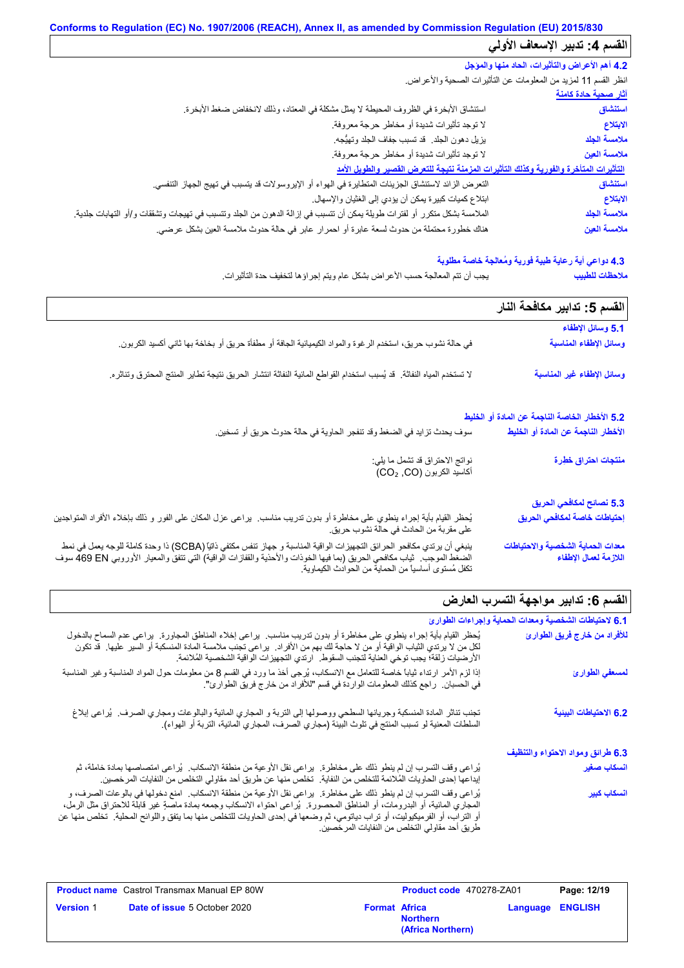# **Conforms to Regulation (EC) No. 1907/2006 (REACH), Annex II, as amended by Commission Regulation (EU) 2015/830** القسم **4:** تدبير الإسعاف الأولي

| المستنبي فسير الإستنب الأربي                   |                                                                                                                          |
|------------------------------------------------|--------------------------------------------------------------------------------------------------------------------------|
| 4.2 أهم الأعراض والتأثيرات، الحاد منها والمؤجل |                                                                                                                          |
|                                                | انظر القسم 11 لمزيد من المعلومات عن النائثيرات الصحية والأعراض.                                                          |
| <u>آثار صحية حادة كامنة</u>                    |                                                                                                                          |
| استنشاق                                        | استتشاق الأبخرة في الظروف المحيطة لا يمثل مشكلة في المعتاد، وذلك لانخفاض ضغط الأبخرة.                                    |
| الابتلاع                                       | لا توجد تأثيرات شديدة أو مخاطر حرجة معروفة.                                                                              |
| ملامسة الجلد                                   | يزيل دهون الجلد. قد تسبب جفاف الجلد وتهيُّجه.                                                                            |
| ملامسة العين                                   | لا توجد تأثيرات شديدة أو مخاطر حرجة معروفة.                                                                              |
|                                                | التأثيرات المتأخرة والفورية وكذلك التأثيرات المزمنة نتيجة للتعرض القصير والطويل الأمد                                    |
| استنشاق                                        | النعر ض الزائد لاستنشاق الجزيئات المتطايرة في الهواء أو الإيروسولات قد يتسبب في تهيج الجهاز التنفسي.                     |
| الابتلاع                                       | ابتلاع كميات كبيرة يمكن أن يؤدي إلى الغثيان والإسهال.                                                                    |
| ملامسة الجلد                                   | الملامسة بشكل متكرر أو لفترات طويلة يمكن أن تتسبب في إزالة الدهون من الجلد وتتسبب في تهيجات وتشققات و/أو التهابات جلدية. |
| ملامسة العين                                   | هناك خطورة محتملة من حدوث لسعة عابرة أو احمرار عابر في حالة حدوث ملامسة العين بشكل عرضي.                                 |
|                                                |                                                                                                                          |

#### **4.3 دواعي أیة رعایة طبیة فوریة ومُعالجة خاصة مطلوبة**

یجب أن تتم المعالجة حسب الأعراض بشكل عام ویتم إجراؤھا لتخفیف حدة التأثیرات. **ملاحظات للطبیب**

|                                                                                                                                                                                                                                                                                                             | القسم 5: تدابير مكافحة النار                               |
|-------------------------------------------------------------------------------------------------------------------------------------------------------------------------------------------------------------------------------------------------------------------------------------------------------------|------------------------------------------------------------|
|                                                                                                                                                                                                                                                                                                             | 5.1 وسائل الإطفاء                                          |
| في حالة نشوب حريق، استخدم الرغوة والمواد الكيميائية الجافة أو مطفأة حريق أو بخاخة بها ثاني أكسيد الكربون.                                                                                                                                                                                                   | وسائل الإطفاء المناسبة                                     |
| لا تستخدم المياه النفاثة. قد يُسبب استخدام القواطع المائية النفاثة انتشار الحريق نتيجة تطاير المنتج المحترق وتناثره.                                                                                                                                                                                        | وسائل الإطفاء غير المناسبة                                 |
|                                                                                                                                                                                                                                                                                                             | 5.2 الأخطار الخاصة الناجمة عن المادة أو الخليط             |
| سوف يحدث تزايد في الضغط وقد تنفجر الحاوية في حالة حدوث حريق أو تسخين.                                                                                                                                                                                                                                       | الأخطار الناجمة عن المادة أو الخليط                        |
| نواتج الاحتراق قد تشمل ما يلي:<br>أكاسيد الكربون (CO2, CO)                                                                                                                                                                                                                                                  | منتجات احتراق خطِرة                                        |
|                                                                                                                                                                                                                                                                                                             | 5.3 نصائح لمكافحي الحريق                                   |
| يُحظر القيام بأية إجراء ينطوي على مخاطرة أو بدون تدريب مناسب.  يراعي عزل المكان على الفور و ذلك بإخلاء الأفراد المتواجنين<br>على مقربة من الحادث في حالة نشوب حريق.                                                                                                                                         | إحتياطات خاصة لمكافحي الحريق                               |
| ينبغي أن يرتدي مكافحو الحرائق التجهيزات الواقية المناسبة و جهاز تنفس مكتفي ذاتيًا (SCBA) ذا وحدة كاملة للوجه يعمل في نمط<br>الضغط الموجب.  ثياب مكافحي الحريق (بما فيها الخوذات والأحذية والقفازات الّواقية) التي تتفق والمعيار  الأوروبي A69 EN سوف<br>تكفل مُستوى أساسيا من الحماية من الحوادث الكيماوية. | معدات الحماية الشخصية والاحتياطات<br>اللازمة لعمال الإطفاء |

# .<br>القسم 6: تدابیر مواجهة التسرب العارض

| 6.1 لاحتياطات الشخصية ومعدات الحماية وإجراءات الطوارئ |                                                                                                                                                                                                                                                                                                                                                                                                                                   |
|-------------------------------------------------------|-----------------------------------------------------------------------------------------------------------------------------------------------------------------------------------------------------------------------------------------------------------------------------------------------------------------------------------------------------------------------------------------------------------------------------------|
| للأفراد من خارج فريق الطوارئ                          | يُحظر القيام بأية إجراء ينطوي على مخاطرة أو بدون تدريب مناسب. يراعي إخلاء المناطق المجاورة. يراعي عدم السماح بالدخول<br>لكل من لا يرتدي الثياب الواقية أو من لا حاجة لك بهم من الأفراد.  يراعي نجنب ملامسة المادة المنسكبة أو السير عليها   قد نكون<br>الأرضيات زلقة؛ يجب توخي العناية لتجنب السقوط.  ارتدي التجهيزات الواقية الشخصية المُلائمة.                                                                                  |
| لمسعفي الطوارئ                                        | إذا لزم الأمر ارتداء ثياباً خاصة للتعامل مع الانسكاب، يُرجى أخذ ما ورد في القسم 8 من معلومات حول المواد المناسبة وغير المناسبة<br>في الحسبان.  راجع كذلك المعلومات الواردة في قسم "للأفراد من خارج فريق الطوارئ".                                                                                                                                                                                                                 |
| 6.2 الاحتياطات البيئية                                | تجنب تناثر المادة المنسكبة وجريانها السطحي ووصولها إلى التربة و المجاري المائية والبالوعات ومجاري الصرف.  يُراعى إبلاغ<br>السلطات المعنية لو تسبب المنتج في تلوث البيئة (مجاري الصرف، المجاري المائية، التربة أو الهواء).                                                                                                                                                                                                         |
| 6.3 طرائق ومواد الاحتواء والتنظيف                     |                                                                                                                                                                                                                                                                                                                                                                                                                                   |
| أنسكاب صغير                                           | يُراعى وقف التسرب إن لم ينطو ذلك على مخاطرة.  يراعى نقل الأوعية من منطقة الانسكاب.  يُراعى امتصاصها بمادة خاملة، ثم<br>إيداعها إحدى الحاويات المُلائمة للتخلص من النفاية.  تخلص منها عن طريق أحد مقاولي التخلص من النفايات المرخصين.                                                                                                                                                                                              |
| ا <mark>نسكاب كبي</mark> ر                            | يُراعى وقف التسرب إن لم ينطو ذلك على مخاطرة.  يراعى نقل الأوعية من منطقة الانسكاب.  امنع دخولها في بالوعات الصرف، و<br>المجاري المانية، أو البدرومات، أو المذاطق المحصورة ¸ يُراعى احتواء الانسكاب وجمعه بمادة ماصةٍ غير قابلة للاحتراق مثل الرمل،<br>أو التراب، أو الفرميكيوليت، أو تراب دياتومي، ثم وضعها في إحدى الحاويات للتخلص منها بما يتفق واللوائح المحلية   تخلص منها عن<br>طريق أحد مقاولي التخلص من النفايات المرخصين. |

|                  | <b>Product name</b> Castrol Transmax Manual EP 80W |                      | <b>Product code</b> 470278-ZA01      | Page: 12/19             |  |
|------------------|----------------------------------------------------|----------------------|--------------------------------------|-------------------------|--|
| <b>Version 1</b> | <b>Date of issue 5 October 2020</b>                | <b>Format Africa</b> | <b>Northern</b><br>(Africa Northern) | <b>Language ENGLISH</b> |  |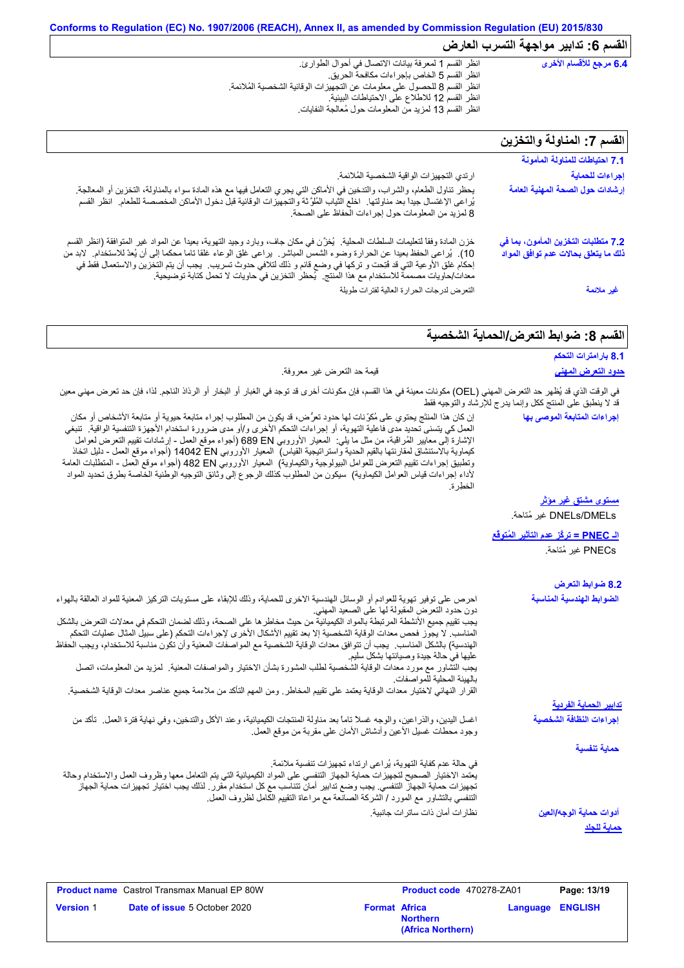| 6.4 مرجع للأقسام الأخرى           | انظر القسم 1 لمعرفة بيانات الاتصال في أحوال الطوارئ.                     |
|-----------------------------------|--------------------------------------------------------------------------|
|                                   | انظر القسم 5 الخاص بإجر اءات مكافحة الحريق.                              |
|                                   | انظر القسم 8 للحصول على معلومات عن التجهيزات الوقائية الشخصية المُلائمة. |
|                                   | انظر القسم 12 للاطلاع على الاحتياطات البيئية.                            |
|                                   | انظر القسم 13 لمزيد من المعلومات حول مُعالجة النفايات.                   |
|                                   |                                                                          |
|                                   |                                                                          |
| القسم 7: المناولة والتخزين        |                                                                          |
|                                   |                                                                          |
| 4 7 احق اطلت المناما قراله أممنية |                                                                          |

| الفسم / : المناولة والتحزين                                                 |                                                                                                                                                                                                                                                                                                                                                                                                                                                                                    |
|-----------------------------------------------------------------------------|------------------------------------------------------------------------------------------------------------------------------------------------------------------------------------------------------------------------------------------------------------------------------------------------------------------------------------------------------------------------------------------------------------------------------------------------------------------------------------|
| 7.1 احتياطات للمناولة المأمونة                                              |                                                                                                                                                                                                                                                                                                                                                                                                                                                                                    |
| إجراءات للحماية                                                             | ارتدي التجهيز ات الواقية الشخصية المُلائمة.                                                                                                                                                                                                                                                                                                                                                                                                                                        |
| إرشادات حول الصحة المهنية العامة                                            | يحظر تناول الطعام، والشراب، والتدخين في الأماكن التي يجري التعامل فيها مع هذه المادة سواء بالمناولة، التخزين أو المعالجة<br>يُراعى الإغتسال جيداً بعد مناولتها ِ اخلع الثياب المُلوَّثة والتجهيزات الوقائية قبل دخول الأماكن الم<br>8 لمزيد من المعلومات حول إجراءات الحفاظ على الصحة.                                                                                                                                                                                             |
| 7.2 متطلبات التخزين المأمون، بما في<br>ذلك ما يتعلق بحالات عدم توافق المواد | خزن المادة وفقاً لتعليمات السلطات المحلية.  يُغزَّن في مكان جاف، وبارد وجيد التهوية، بعيداً عن المواد غير المتوافقة (انظر القسم<br>10). يُراعى الحفظ بعيدا عن الحرارة وضوء الشمس المباشر . يراعى غلق الوعاء غلقا تاما محكما إلى أن يُعدّ للاستخدام.  لابد من<br>إحكام غلق الأوعية التي قد فُتِحت و تركها في وضع قائم و ذلك لتلافي حدوث تسريب.  يجب أن يتم التخزين والاستعمال فقط في<br>معدات/حاويات مصممة للاستخدام مع هذا المنتج.  يُحظر التخزين في حاويات لا تحمل كتابة توضيحية. |
| غير ملائمة                                                                  | التعرض لدرجات الحرارة العالية لفترات طويلة                                                                                                                                                                                                                                                                                                                                                                                                                                         |

# القسم 8: ضوابط التع*ر*ض/الحماية الشخصية

| 8.1 بارامترات التحكم                                       |                                                                                                                                                                                                                                                                                                                                                                                                                                                                                                                                                                                                                                                                                                                                                                                                                                                                                                     |
|------------------------------------------------------------|-----------------------------------------------------------------------------------------------------------------------------------------------------------------------------------------------------------------------------------------------------------------------------------------------------------------------------------------------------------------------------------------------------------------------------------------------------------------------------------------------------------------------------------------------------------------------------------------------------------------------------------------------------------------------------------------------------------------------------------------------------------------------------------------------------------------------------------------------------------------------------------------------------|
| <u>حدود التعرض المهنى</u>                                  | قيمة حد التعرض غير معروفة.                                                                                                                                                                                                                                                                                                                                                                                                                                                                                                                                                                                                                                                                                                                                                                                                                                                                          |
| قد لا ينطبق على المنتج ككل وإنما يدرج للإرشاد والتوجيه فقط | في الوقت الذي قد يُظهر حد التعرض المهني (OEL) مكونات معينة في هذا القسم، فإن مكونات أخرى قد توجد في الغبار أو البخار أو الرذاذ الناجم. لذا، فإن حد تعرض مهني معين                                                                                                                                                                                                                                                                                                                                                                                                                                                                                                                                                                                                                                                                                                                                   |
| إجراءات المتابعة الموصى بها                                | إن كان هذا المنتَّج يحتوي على مُكوِّنات لها حدود تعرُّض، قد يكون من المطلوب إجراء متابعة حيوية أو متابعة الأشخاص أو مكان<br>العمل كي يتسنى تحديد مدى فاعلية التهوية، أو إجراءات التحكم الأخرى و/أو مدى ضرورة استخدام الأجهزة التنفسية الواقية.  تنبغي<br>الإشارة إلى معايير المُراقبة، من مثل ما يلي:  المعيار الأوروبي 689 EN (أجواء موقع العمل - إرشادات تقييع التعرض لعوامل<br>كيماوية بالاستنشاق لمقارنتها بالقيم الحدية واستراتيجية القياس)  المعيار الأوروبي 14042 D إأجواء موقع العمل - دليل اتخاذ<br>وتطبيق إجراءات تقييم التعرض للعوامل البيولوجية والكيماوية)  المعيار الأوروبي 482 Bd (أجواء موقع العمل - المنطلبات العامة<br>لأداء إجراءات قياس العوامل الكيماوية)  سيكون من المطلوب كذلك الرجوع إلى وثائق التوجيه الوطنية الخاصة بطرق تحديد المواد<br>النطرة                                                                                                                           |
| <u>مستوى مشتق غير مؤثر</u>                                 |                                                                                                                                                                                                                                                                                                                                                                                                                                                                                                                                                                                                                                                                                                                                                                                                                                                                                                     |
| DNELs/DMELs غير مُتاحة.                                    |                                                                                                                                                                                                                                                                                                                                                                                                                                                                                                                                                                                                                                                                                                                                                                                                                                                                                                     |
| ا <mark>لـ PNEC = تركُز عدم التأثير المُتوقَع</mark>       |                                                                                                                                                                                                                                                                                                                                                                                                                                                                                                                                                                                                                                                                                                                                                                                                                                                                                                     |
| PNECs غير مُتاحة.                                          |                                                                                                                                                                                                                                                                                                                                                                                                                                                                                                                                                                                                                                                                                                                                                                                                                                                                                                     |
| 8.2 ضوابط التعرض                                           |                                                                                                                                                                                                                                                                                                                                                                                                                                                                                                                                                                                                                                                                                                                                                                                                                                                                                                     |
| الضوابط الهندسية المناسبة                                  | احرص على توفير تهوية للعوادم أو الوسائل الهندسية الاخرى للحماية، وذلك للإبقاء على مستويات التركيز المعنية للمواد العالقة بالهواء<br>دون حدود التعرض المقبولة لها على الصعيد المهني.<br>يجب تقييم جميع الأنشطة المرتبطة بالمواد الكيميائية من حيث مخاطر ها على الصحة، وذلك لضمان التحكم في معدلات التعرض بالشكل<br>المناسب لا يجوز فحص معدات الوقاية الشخصية إلا بعد تقييم الأشكال الأخرى لإجراءات التحكم (على سبيل المثال عمليات التحكم<br>الهندسية) بالشكل المناسب.  يجب أن تتوافق معدات الوقاية الشخصية مع المواصفات المعنية وأن تكون مناسبة للاستخدام، ويجب الحفاظ<br>عليها في حالة جيدة وصيانتها بشكل سليم<br>يجب التشَّاور مع مورد معدات الوقاية الشخصية لطلب المشورة بشأن الاختيار والمواصفات المعنية   لمزيد من المعلومات، اتصل<br>بالهيئة المحلية للمواصفات.<br>القرار النهائي لاختيار معدات الوقاية يعتمد على تقييم المخاطر ـ ومن المهم التأكد من ملاءمة جميع عناصر معدات الوقاية الشخصية. |
| <u>تدابير الحماية الفردية</u>                              |                                                                                                                                                                                                                                                                                                                                                                                                                                                                                                                                                                                                                                                                                                                                                                                                                                                                                                     |
| إجراءات النظافة الشخصية                                    | اغسل اليدين، والذراعين، والوجه غسلاً ناماً بعد مذاولة المنتجات الكيميائية، وعند الأكل والتدخين، وفي نهاية فترة العمل  تأكد من<br>وجود محطات غسيل الأعين وأدشاش الأمان علىى مقربة من موقع العمل                                                                                                                                                                                                                                                                                                                                                                                                                                                                                                                                                                                                                                                                                                      |
| حماية تنفسية                                               |                                                                                                                                                                                                                                                                                                                                                                                                                                                                                                                                                                                                                                                                                                                                                                                                                                                                                                     |
|                                                            | في حالة عدم كفاية التهوية، يُراعى ارتداء تجهيزات تنفسية ملائمة.<br>يعتمد الاختيار الصحيح لتجهيزات حماية الجهاز التنفسي على المواد الكيميائية التي يتم التعامل معها وظروف العمل والاستخدام وحالة<br>تجهيز ات حماية الجهاز التنفسي. يجب وضع تدابير أمان تتناسب مع كل استخدام مقرر . لذلك يجب اختيار تجهيز ات حماية الجهاز<br>التنفسي بالتشاور مع المورد / الشركة الصانعة مع مراعاة التقييم الكامل لظروف العمل                                                                                                                                                                                                                                                                                                                                                                                                                                                                                         |
| أدوات حماية الوجه/العين                                    | نظار ات أمان ذات ساتر ات جانبية.                                                                                                                                                                                                                                                                                                                                                                                                                                                                                                                                                                                                                                                                                                                                                                                                                                                                    |
| <u>حماية للجلد</u>                                         |                                                                                                                                                                                                                                                                                                                                                                                                                                                                                                                                                                                                                                                                                                                                                                                                                                                                                                     |

|                  | <b>Product name</b> Castrol Transmax Manual EP 80W |                      | <b>Product code</b> 470278-ZA01      |                  | Page: 13/19 |
|------------------|----------------------------------------------------|----------------------|--------------------------------------|------------------|-------------|
| <b>Version</b> 1 | <b>Date of issue 5 October 2020</b>                | <b>Format Africa</b> | <b>Northern</b><br>(Africa Northern) | Language ENGLISH |             |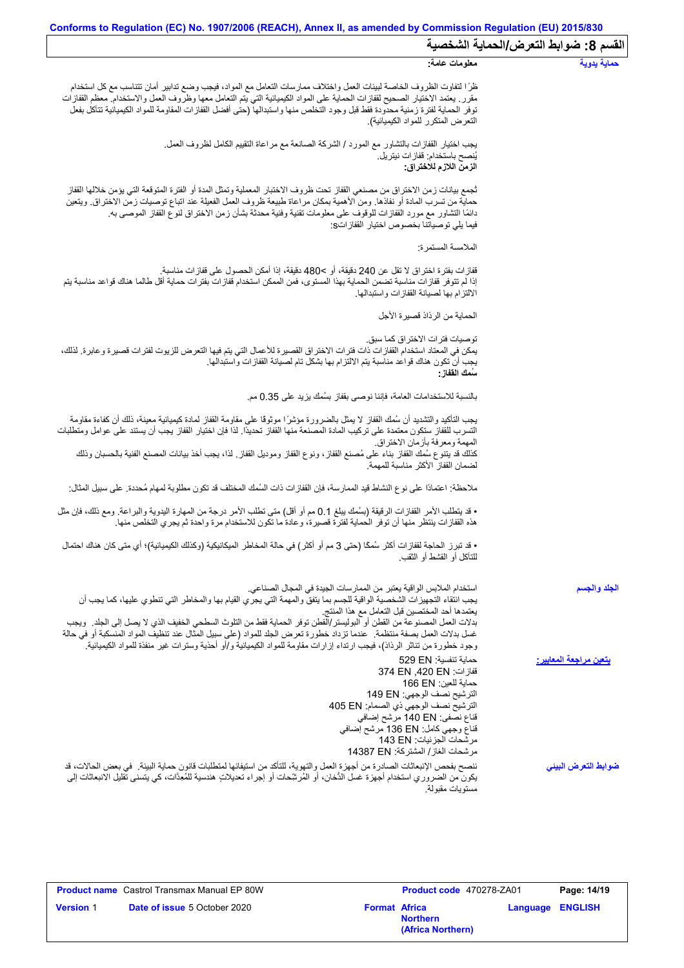| القسم 8: ضوابط التعرض/الحماية الشخصية |                                                                                                                                                                                                                                                                                                                                                                                                                                                                                                                                                                                                                                  |
|---------------------------------------|----------------------------------------------------------------------------------------------------------------------------------------------------------------------------------------------------------------------------------------------------------------------------------------------------------------------------------------------------------------------------------------------------------------------------------------------------------------------------------------------------------------------------------------------------------------------------------------------------------------------------------|
| حماية يدوية                           | معلومات عامة:                                                                                                                                                                                                                                                                                                                                                                                                                                                                                                                                                                                                                    |
|                                       | ظرًا لتفاوت الظروف الخاصة لبيئات العمل واختلاف ممارسات التعامل مع المواد، فيجب وضع تدابير أمان تتناسب مع كل استخدام<br>مقرر ٍ يعتمد الاختيار الصحيح لقفازات الحماية على المواد الكيميائية التي يتم التعامل معها وظروف العمل والاستخدام معظم القفازات<br>توفر الحماية لفترة زمنية محدودة فقط قبل وجود التخلص منها واستبدالها (حتى أفضل القفازات المقاومة للمواد الكيميائية تتآكل بفعل<br>التعرض المتكرر للمواد الكيميائية).                                                                                                                                                                                                       |
|                                       | يجب اختيار القفازات بالتشاور مع المورد / الشركة الصـانعة مع مراعاة التقييم الكامل لظروف العمل.<br>يُنصح باستخدام: ففاز ات نيتريل.<br>الزمن اللازم للاختراق:                                                                                                                                                                                                                                                                                                                                                                                                                                                                      |
|                                       | ثجمع بيانات زمن الاختراق من مصنعي القفاز تحت ظروف الاختبار المعملية وتمثل المدة أو الفترة المتوقعة التي يؤمن خلالها القفاز<br>حماية من تسرب المادة أو نفاذها. ومن الأهمية بمكان مراعاة طبيعة ظروف العمل الفعيلة عند اتباع توصيات زمن الاختراق. ويتعين<br>دائمًا التشاور مع مورد القفازات للوقوف على معلومات تقنية وفنية محدثة بشأن زمن الاختراق لنوع القفاز الموصىي به<br>فيما يلِّي توصياتنا بخصوص اختيار  القفاز اتS:                                                                                                                                                                                                          |
|                                       | الملامسة المستمرة:                                                                                                                                                                                                                                                                                                                                                                                                                                                                                                                                                                                                               |
|                                       | ففاز ات بفتر ة اختر اق لا تقل عن 240 دقيقة، أو >480 دقيقة، إذا أمكن الحصول على قفاز ات مناسبة.<br>إذا لم تتوفر قفازات مناسبة تضمن الحماية بهذا المستوى، فمن الممكن استخدام قفازات بفترات حماية أقل طالما هناك قواعد مناسبة يتم<br>الالتزام بها لصيانة القفازات واستبدالها                                                                                                                                                                                                                                                                                                                                                        |
|                                       | الحماية من الر ذاذ قصير ة الأجل                                                                                                                                                                                                                                                                                                                                                                                                                                                                                                                                                                                                  |
|                                       | تو صيات فتر ات الاختر اق كما سبق.<br>يمكن في المعتاد استخدام القفازات ذات فترات الاختراق القصيرة للأعمال التي يتم فيها التعرض للزيوت لفترات قصيرة وعابرة. لذلك،<br>يجب أن تكون هناك قواعد مناسبة يتم الالتزام بها بشكل تام لصيانة القفازات واستبدالها.<br>سَمك الففاز :                                                                                                                                                                                                                                                                                                                                                          |
|                                       | بالنسبة للاستخدامات العامة، فإننا نوصـي بقفاز بسُمك يزيد على 0.35 مم.                                                                                                                                                                                                                                                                                                                                                                                                                                                                                                                                                            |
|                                       | يجب التأكيد والتشديد أن سُمك القفاز لا يمثل بالضرورة مؤشرًا موثوقًا على مقاومة القفاز لمادة كيميائية معينة، ذلك أن كفاءة مقاومة<br>التسرب للقفاز ستكون معتمدة على تركيب المادة المصنعة منها القفاز تحديدًا. لذا فإن اختيار القفاز يجب أن يستند على عوامل ومتطلبات                                                                                                                                                                                                                                                                                                                                                                |
|                                       | المهمة ومعرفة بأزمان الاختراق<br>كذلك قد يتنوع سُمك القفاز بناء على مُصنع القفاز، ونوع القفاز وموديل القفاز ٍ لذا، يجب أخذ بيانات المصنع الفنية بالحسبان وذلك<br>لضمان القفاز الأكثر مناسبة للمهمة                                                                                                                                                                                                                                                                                                                                                                                                                               |
|                                       | ملاحظة: اعتمادًا على نوع النشاط قيد الممارسة، فإن القفازات ذات السُمك المختلف قد تكون مطلوبة لمهام مُحددة. على سبيل المثال:                                                                                                                                                                                                                                                                                                                                                                                                                                                                                                      |
|                                       | • قد يتطلب الأمر القفازات الرقيقة (بسُمك يبلغ 0.1 مم أو أقل) متى تطلب الأمر درجة من المهارة اليدوية والبراعة. ومع ذلك، فإن مثل<br>هذه القفازات ينتظر منها أن توفر الحماية لفترة قصيرة، و عادة ما تكون للاستخدام مرة واحدة ثم يجرى التخلص منها.                                                                                                                                                                                                                                                                                                                                                                                   |
|                                       | • قد تبرز الحاجة لقفازات أكثر سُمَّا (حتى 3 مم أو أكثر) في حالة المخاطر الميكانيكية (وكذلك الكيميائية)؛ أي متى كان هناك احتمال<br>للنَّاكل أو القُسط أو الثقب.                                                                                                                                                                                                                                                                                                                                                                                                                                                                   |
| الجلد والجسم                          | استخدام الملابس الواقية يعتبر من الممارسات الجيدة في المجال الصناعي.<br>يجب انتقاء التجهيزات الشخصية الواقية للجسم بما يتفق والمهمة التي يجري القيام بها والمخاطر التي تنطوي عليها، كما يجب أن<br>يعتمدها أحد المختصين قبل التعامل مع هذا المنتج<br>بدلات العمل المصنوعة من القطن أو البوليستر/القطن توفر الحماية فقط من النلوث السطحي الخفيف الذي لا يصل إلى الجلد ٍ ويجب<br>غسل بدلات العمل بصفة منتظمة ٍ عندما تزداد خطورة تعرض الجلد للمواد (على سبيل المثال عند تنظيف المواد المنسكبة أو في حالة<br>وجود خطورة من تناثر الرذاذ)، فيجب ارتداء إزارات مقاومة للمواد الكيميائية و/أو أحذية وسترات غير منفذة للمواد الكيميائية. |
| يتعين مراجعة المعايير:                | حماية تنفسية: 529 EN<br>قفازات: 374 EN ,420 EN<br>حماية للعين: 166 EN<br>الترشيح نصف الوجهي: 149 EN<br>الترشيح نصف الوجهي ذي الصمام: 405 EN<br>قناع نصفي: 140 EN مرشح إضافي<br>قناع وجهي كامل: 136 EN مرشح إضافي<br>مرشحات الجزئيات: 143 EN<br>مرشحات الغاز/ المشتركة: 14387 EN                                                                                                                                                                                                                                                                                                                                                  |
| ضوابط التعرض البينى                   | ننصح بفحص الإنبعاثات الصادرة من أجهزة العمل والتهوية، للتأكد من استيفائها لمتطلبات قانون حماية البيئة . في بعض الحالات، قد<br>يكون من الضروري استخدام أجهزة غسل الدُّخان، أو المُرشِّحات أو إجراء تـعديلاتٍ هندسية للمُعِدَّات، كي يتسنى تقليل الانبعاثات إلى<br>مستو يات مقبو لة.                                                                                                                                                                                                                                                                                                                                               |

|                  | <b>Product name</b> Castrol Transmax Manual EP 80W |                      | <b>Product code</b> 470278-ZA01      |                         | Page: 14/19 |
|------------------|----------------------------------------------------|----------------------|--------------------------------------|-------------------------|-------------|
| <b>Version 1</b> | <b>Date of issue 5 October 2020</b>                | <b>Format Africa</b> | <b>Northern</b><br>(Africa Northern) | <b>Language ENGLISH</b> |             |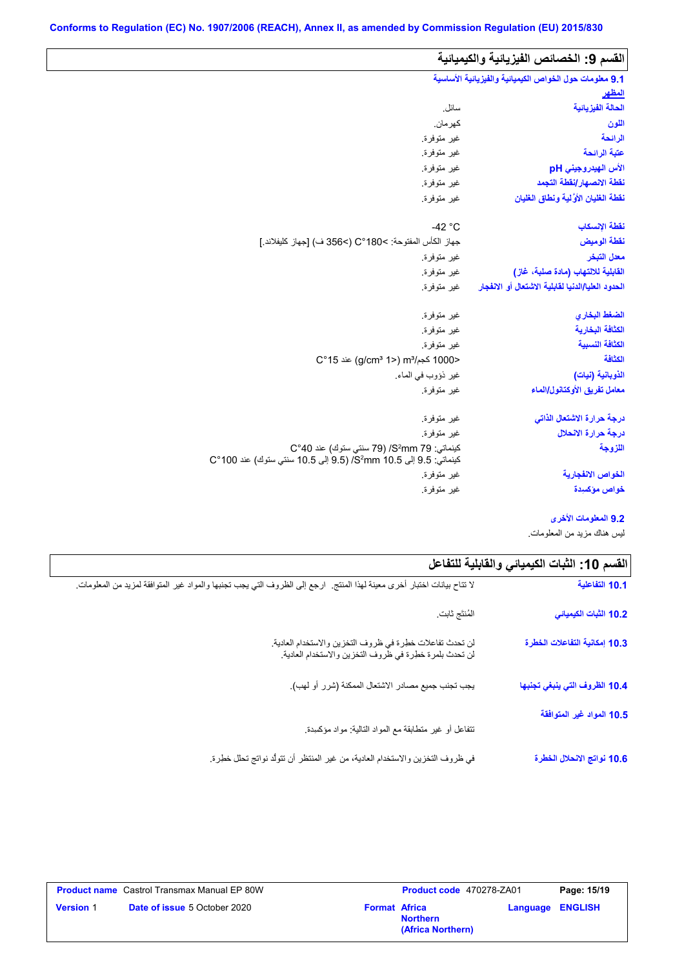$\overline{\phantom{a}}$ 

| القسم 9: الخصائص الفيزيائية والكيميائية                |                                                                                                            |
|--------------------------------------------------------|------------------------------------------------------------------------------------------------------------|
| 9.1 معلومات حول الخواص الكيميانية والفيزيانية الأساسية |                                                                                                            |
| <u>المظهر</u>                                          |                                                                                                            |
| الحالة الفيزيانية                                      | سائل.                                                                                                      |
| اللون                                                  | كهر مان.                                                                                                   |
| الرائحة                                                | غير متوفرة.                                                                                                |
| عتبة الرائحة                                           | غير متوفرة.                                                                                                |
| الأس الهيدروجيني pH                                    | غير متوفرة.                                                                                                |
| نقطة الانصهار إنقطة التجمد                             | غير متوفرة.                                                                                                |
| نقطة الغليان الأولية ونطاق الغليان                     | غير متوفرة.                                                                                                |
| نقطة الإنسكاب                                          | $-42 °C$                                                                                                   |
| نقطة الوميض                                            | جهاز الكأس المفتوحة: C°180< (>356 ف) [جهاز كليفلاند.]                                                      |
| معدل التبخر                                            | غير متوفرة.                                                                                                |
| القابلية للالتهاب (مادة صلبة، غاز)                     | غير متوفرة.                                                                                                |
| الحدود العليا/الدنيا لقابلية الاشتعال أو الانفجار      | غير متوفرة.                                                                                                |
| الضغط البخاري                                          | غير متوفرة.                                                                                                |
| الكثافة البخارية                                       | غير متوفرة.                                                                                                |
| الكثافة النسبية                                        | غير متوفرة.                                                                                                |
| الكثافة                                                | <1000 كجم/m3 (2°15) aic (g/cm3 1                                                                           |
| الذوبانية (نيات)                                       | غير ذؤوب في الماء.                                                                                         |
| معامل تفريق الأوكتانول/الماء                           | غير متوفرة.                                                                                                |
| درجة حرارة الاشتعال الذاتى                             | غير متوفرة.                                                                                                |
| درجة حرارة الانحلال                                    | غير متوفرة.                                                                                                |
| اللزوجة                                                | كينماتي: S2mm 79) (79 سنتي ستوك) عند C°40<br>كينماتي: 9.5 إلى 3.5 S2mm/ (9.5 إلى 10.5 سنتي ستوك) عند 100°C |
| الخواص الانفجارية                                      | غير متوفرة.                                                                                                |
| خواص مؤكسيدة                                           | غير متوفرة.                                                                                                |
|                                                        |                                                                                                            |

**9.2 المعلومات الأخرى**

لیس ھناك مزید من المعلومات.

| القسم 10: الثبات الكيميائي والقابلية للتفاعل |                                                                                                                          |
|----------------------------------------------|--------------------------------------------------------------------------------------------------------------------------|
| 10.1 التفاعلية                               | لا تتاح بيانات اختبار أخرى معينة لهذا المنتج.  ارجع إلى الظروف التي يجب تجنبها والمواد غير المتوافقة لمزيد من المعلومات. |
| 10.2 الثبات الكيمياني                        | المُنتَج ثابت.                                                                                                           |
| 10.3 إمكانية التفاعلات الخطرة                | لن تحدث تفاعلات خطرة في ظروف التخزين والاستخدام العادية.<br>لن تحدث بلمرة خطرة في ظروف التخزين والاستخدام العادية.       |
| 10.4 الظروف التي ينبغي تجنبها                | يجب تجنب جميع مصادر الاشتعال الممكنة (شرر أو لهب).                                                                       |
| 10.5 المواد غير المتوافقة                    | نتفاعل أو غير متطابقة مع المواد التالية: مواد مؤكمبدة                                                                    |
| 10.6 نواتج الانحلال الخطرة                   | في ظروف التخزين والاستخدام العادية، من غير المنتظر أن تتولَّد نواتج تحلل خطِرة.                                          |

|                  | <b>Product name</b> Castrol Transmax Manual EP 80W |                      |                                      | <b>Product code</b> 470278-ZA01 | Page: 15/19 |
|------------------|----------------------------------------------------|----------------------|--------------------------------------|---------------------------------|-------------|
| <b>Version 1</b> | <b>Date of issue 5 October 2020</b>                | <b>Format Africa</b> | <b>Northern</b><br>(Africa Northern) | <b>Language ENGLISH</b>         |             |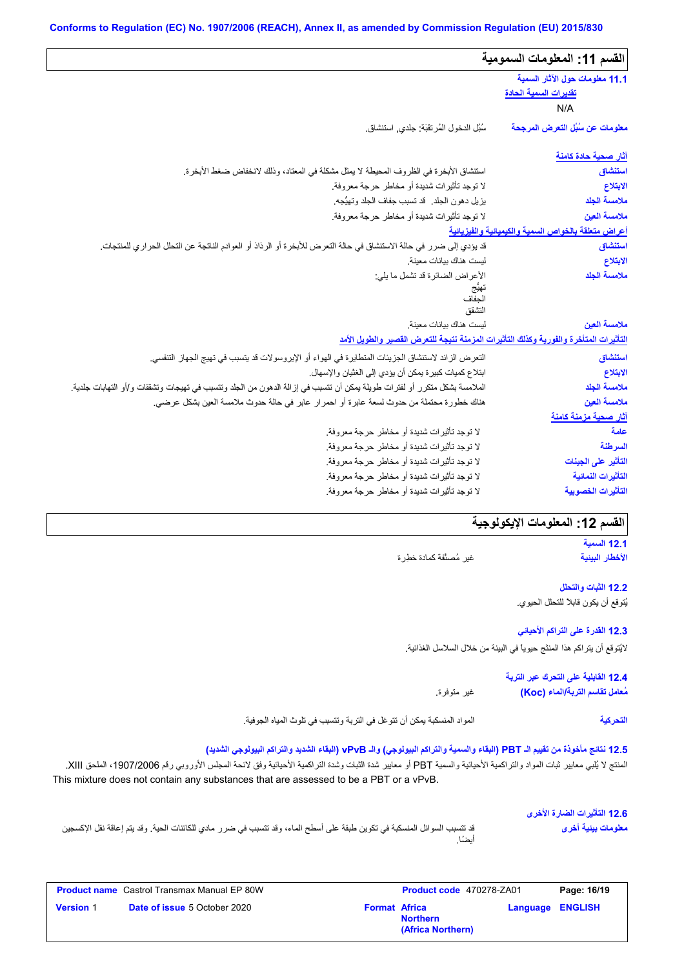#### **Conforms to Regulation (EC) No. 1907/2006 (REACH), Annex II, as amended by Commission Regulation (EU) 2015/830**

| القسم 11: المعلومات السمومية                            |                                                                                                                          |  |  |  |
|---------------------------------------------------------|--------------------------------------------------------------------------------------------------------------------------|--|--|--|
| 11.1 معلومات حول الآثار السمية<br>تقديرات السمية الحادة |                                                                                                                          |  |  |  |
| N/A                                                     |                                                                                                                          |  |  |  |
| معلومات عن سُبُل التعرض المرجحة                         | سُبُل الدخول المُرتقَبَة: جلدي, استنشاق.                                                                                 |  |  |  |
| <u>آثار صحية حادة كامنة</u>                             |                                                                                                                          |  |  |  |
| استنشاق                                                 | استتشاق الأبخرة في الظروف المحيطة لا يمثِّل مشكلة في المعتاد، وذلك لانخفاض ضغط الأبخرة.                                  |  |  |  |
| الابتلاع                                                | لا توجد تأثيرات شديدة أو مخاطر حرجة معروفة.                                                                              |  |  |  |
| ملامسة الجلد                                            | يزيل دهون الجلد. قد تسبب جفاف الجلد وتهيُّجه.                                                                            |  |  |  |
| ملامسة العين                                            | لا توجد تأثيرات شديدة أو مخاطر حرجة معروفة.                                                                              |  |  |  |
| أعراض متعلقة بالخواص السمية والكيميانية والفيزيانية     |                                                                                                                          |  |  |  |
| استنشاق                                                 | قد يؤدي إلى ضرر في حالة الاستنشاق في حالة التعرض للأبخرة أو الرذاذ أو العوادم الناتجة عن التحلل الحراري للمنتجات.        |  |  |  |
| الابتلاع                                                | ليست هناك بيانات معينة.                                                                                                  |  |  |  |
| ملامسة الجلد                                            | الأعراض الضائرة قد تشمل ما يلي:                                                                                          |  |  |  |
|                                                         | الحفاف                                                                                                                   |  |  |  |
|                                                         | التشقق                                                                                                                   |  |  |  |
| ملامسة العين                                            | ليست هناك بيانات معينة                                                                                                   |  |  |  |
|                                                         | التأثيرات المتأخرة والفورية وكذلك التأثيرات المزمنة نتيجة للتعرض القصير والطويل الأمد                                    |  |  |  |
| استنشاق                                                 | التعرض الزائد لاستنشاق الجزيئات المتطايرة في الهواء أو الإيروسولات قد يتسبب في تهيج الجهاز التنفسي.                      |  |  |  |
| الابتلاع                                                | ابتلاع كميات كبيرة يمكن أن يؤدي إلى الغثيان والإسهال.                                                                    |  |  |  |
| ملامسة الجلد                                            | الملامسة بشكل متكرر أو لفترات طويلة يمكن أن تتسبب في إزالة الدهون من الجلد وتتسبب في تهيجات وتشققات و/أو التهابات جلدية. |  |  |  |
| ملامسة العين                                            | هناك خطورة محتملة من حدوث لسعة عابرة أو احمرار عابر في حالة حدوث ملامسة العين بشكل عرضي.                                 |  |  |  |
| آثار صحية مزمنة كامنة                                   |                                                                                                                          |  |  |  |
| علمة                                                    | لا توجد تأثيرات شديدة أو مخاطر حرجة معروفة.                                                                              |  |  |  |
| السرطنة                                                 | لا توجد تأثيرات شديدة أو مخاطر حرجة معروفة.                                                                              |  |  |  |
| التأثير على الجينات                                     | لا توجد تأثيرات شديدة أو مخاطر حرجة معروفة.                                                                              |  |  |  |
| التأثيرات النمائية                                      | لا توجد تأثيرات شديدة أو مخاطر حرجة معروفة.                                                                              |  |  |  |
| التأثيرات الخصوبية                                      | لا توجد تأثيرات شديدة أو مخاطر حرجة معروفة.                                                                              |  |  |  |

# القسم 12: المعلومات الإيكولوجية

**12.1 السمیة الأخطار البیئیة**

**التحركیة**

غیر مُصنَّفة كمادة خطِرة

#### **12.2 الثبات والتحلل**

یُتوقع أن یكون قابلاً للتحلل الحیوي.

#### **12.3 القدرة على التراكم الأحیائي**

لایُتوقع أن یتراكم ھذا المنتَج حیویاً في البیئة من خلال السلاسل الغذائیة.

### **12.4 القابلیة على التحرك عبر التربة مُعامل تقاسم التربة/الماء (Koc(**

غیر متوفرة.

المواد المنسكبة یمكن أن تتوغل في التربة وتتسبب في تلوث المیاه الجوفیة.

#### **12.5 نتائج مأخوذة من تقییم الـ PBT) البقاء والسمیة والتراكم البیولوجي) والـ vPvB) البقاء الشدید والتراكم البیولوجي الشدید)**

المنتج لا يُلبي معايير ثبات المواد والتراكمية الأحيائية والسمية PBT أو معايير شدة الثبراكمية الأحيائية وفق لائحة المجلس الأوروبي رقم 1907/2006، الملحق XIII. This mixture does not contain any substances that are assessed to be a PBT or a vPvB.

#### **12.6 التأثیرات الضارة الأخرى معلومات بیئیة أخرى**

قد تتسبب السوائل المنسكبة في تكوین طبقة على أسطح الماء، وقد تتسبب في ضرر مادي للكائنات الحیة. وقد یتم إعاقة نقل الإكسجین أیضًا.

|                  | <b>Product name</b> Castrol Transmax Manual EP 80W |                      | <b>Product code</b> 470278-ZA01      |                  | Page: 16/19 |
|------------------|----------------------------------------------------|----------------------|--------------------------------------|------------------|-------------|
| <b>Version 1</b> | <b>Date of issue 5 October 2020</b>                | <b>Format Africa</b> | <b>Northern</b><br>(Africa Northern) | Language ENGLISH |             |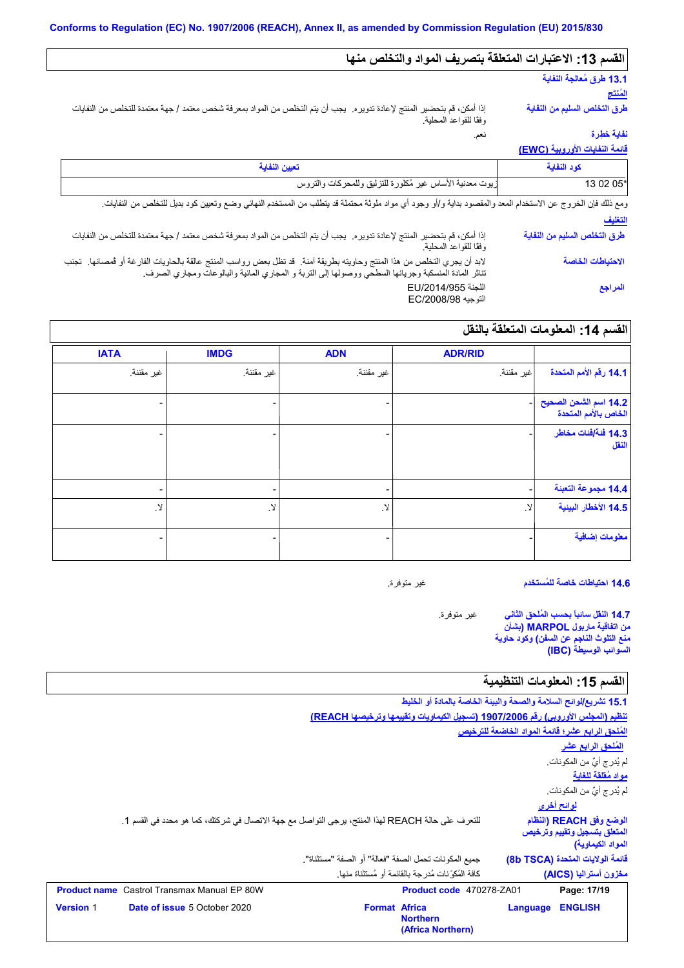### **القسم :13 الاعتبارات المتعلقة بتصریف المواد والتخلص منھا**

# **13.1 طرق مُعالجة النفایة**

**المُنتَج**

**طرق التخلص السلیم من النفایة**

نعم. إذا أمكن، قم بتحضیر المنتج لإعادة تدویره. یجب أن یتم التخلص من المواد بمعرفة شخص معتمد / جھة معتمدة للتخلص من النفایات وفقًا للقواعد المحلیة.

# **نفایة خطِرة**

**قائمة النفایات الأوروبیة (EWC(**

| كود النفاية                  | تعيين النفاية                                                                                                                                                                                                                    |
|------------------------------|----------------------------------------------------------------------------------------------------------------------------------------------------------------------------------------------------------------------------------|
| 13 02 05*                    | زيوت معدنية الأساس غير مُكلورة للتزليق وللمحركات والتروس                                                                                                                                                                         |
|                              | ومع ذلك فإن الخروج عن الاستخدام المعد والمقصود بداية و/أو وجود أي مواد ملوثة محتملة قد يتطلب من المستخدم النهائي وضع وتعيين كود بديل للتخلص من النفايات.                                                                         |
| التغليف                      |                                                                                                                                                                                                                                  |
| طرق التخلص السليم من النفاية | إذا أمكن، قم بتحضير المنتج لإعادة تدويره. يجب أن يتم التخلص من المواد بمعرفة شخص معتمد / جهة معتمدة للتخلص من النفايات<br>وفقًا للقواعد المحلية.                                                                                 |
| الاحتياطات الخاصة            | لابد أن يجري التخلص من هذا المنتج وحاويته بطريقة آمنة.  قد تظل بعض رواسب المنتج عالقة بالحاويات الفارغة أو فمصانها.  تجنب<br>تناثر المادة المنسكبة وجريانها السطحي ووصولها إلى النربة و المجاري المائية والبالوعات ومجاري الصرف. |
| المراجع                      | اللجنة EU/2014/955<br>التوجيه EC/2008/98                                                                                                                                                                                         |

# **القسم :14 المعلومات المتعلقة بالنقل**

|                                               | <b>ADR/RID</b>    | <b>ADN</b>               | <b>IMDG</b>   | <b>IATA</b>  |
|-----------------------------------------------|-------------------|--------------------------|---------------|--------------|
| 14.1 رقم الأمم المتحدة                        | اغير مقننة        | غير مقننة.               | غير مقننة.    | غير مقننة.   |
| 14.2 اسم الشحن الصحيح<br>الخاص بالأمم المتحدة |                   |                          |               |              |
| 14.3 فَنَة ُافْنَات مخاطر<br>النقل            |                   |                          |               |              |
| 14.4 مجموعة التعبنة                           |                   | $\overline{\phantom{a}}$ | ۰.            |              |
| 14.5 الأخطار البينية                          | $\cdot$ $\lambda$ | $\mathcal{A}$            | $\mathcal{N}$ | $\cdot$ $\!$ |
| معلومات إضافية                                |                   |                          | -             |              |

**14.6 احتیاطات خاصة للمُستخدم**

غیر متوفرة.

غیر متوفرة. **14.7 النقل سائباً بحسب المُلحق الثاني من اتفاقیة ماربول MARPOL) بشأن منع التلوث الناجم عن السفن) وكود حاویة السوائب الوسیطة (IBC(**

# القسم 15: المعلومات التنظيمية

|                     |                                                                                                  |                                                      | 15.1 تشريع/لوائح السلامة والصحة والبيئة الخاصة بالمادة أو الخليط                 |                   |                                                                              |
|---------------------|--------------------------------------------------------------------------------------------------|------------------------------------------------------|----------------------------------------------------------------------------------|-------------------|------------------------------------------------------------------------------|
|                     |                                                                                                  |                                                      | تنظيم (المجلس الأوروبي) رقم 1907/2006 (تسجيل الكيماويات وتقييمها وترخيصها REACH) |                   |                                                                              |
|                     |                                                                                                  |                                                      |                                                                                  |                   | المُلحق الرابع عشر؛ قائمة المواد الخاضعة للترخيص                             |
|                     |                                                                                                  |                                                      |                                                                                  |                   | <u>المُلحق الرابع عشر</u>                                                    |
|                     |                                                                                                  |                                                      |                                                                                  |                   | لم يُدر ج أيٌّ من المكونات.                                                  |
|                     |                                                                                                  |                                                      |                                                                                  |                   | مواد مُقلقة للغاية                                                           |
|                     |                                                                                                  |                                                      |                                                                                  |                   | لم يُدرِ ج أيٌّ من المكونات.                                                 |
|                     |                                                                                                  |                                                      |                                                                                  | <u>لوائح أخرى</u> |                                                                              |
|                     | للتعرف على حالة REACH لهذا المنتج، يرجى التواصل مع جهة الاتصال في شركتك، كما هو محدد في القسم 1. |                                                      |                                                                                  |                   | الوضع وفق REACH (النظام<br>المتعلق بتسجيل وتقييم وترخيص<br>المواد الكيماوية) |
|                     |                                                                                                  | جميع المكونات تحمل الصفة "فعالة" أو الصفة "مستثناة". |                                                                                  |                   | فَائِمة الولايات المتحدة (8b TSCA)                                           |
|                     |                                                                                                  |                                                      | كافة المُكوِّ نات مُدرِجة بالقائمة أو مُستثناة منها.                             |                   | مخزون أستراليا (AICS)                                                        |
| <b>Product name</b> | Castrol Transmax Manual EP 80W                                                                   |                                                      | Product code 470278-ZA01                                                         |                   | Page: 17/19                                                                  |
| <b>Version 1</b>    | <b>Date of issue 5 October 2020</b>                                                              | <b>Format Africa</b>                                 | <b>Northern</b><br>(Africa Northern)                                             | Language          | <b>ENGLISH</b>                                                               |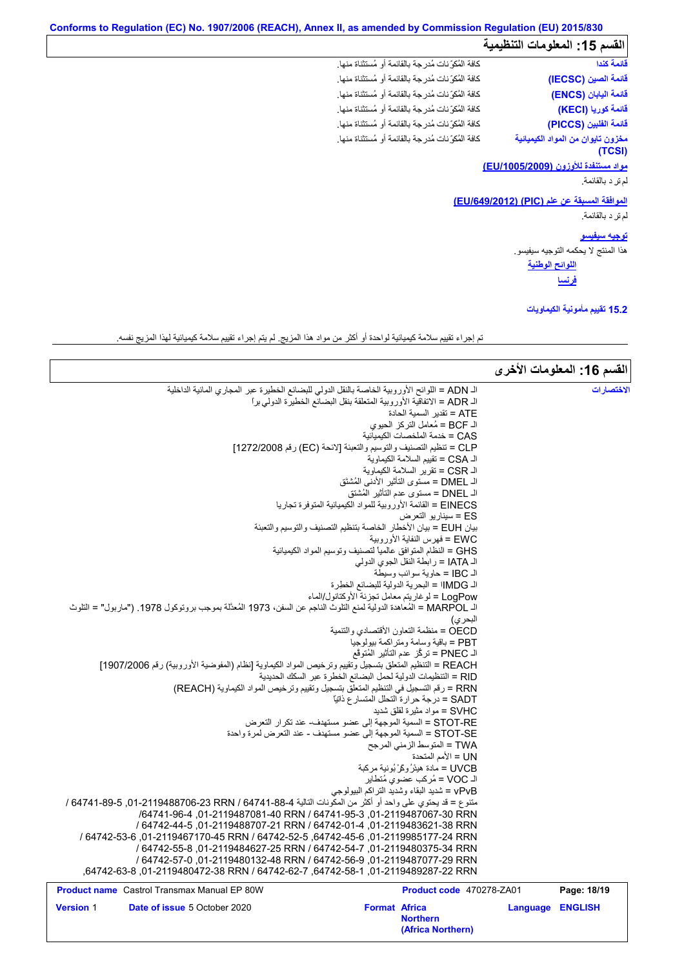# **Conforms to Regulation (EC) No. 1907/2006 (REACH), Annex II, as amended by Commission Regulation (EU) 2015/830**

# .<br>القسم 15: المعلومات التنظيمية

| قائمة كندا                                          | كافة المُكوِّ نات مُدرِ جة بالقائمة أو مُستثناة منها. |
|-----------------------------------------------------|-------------------------------------------------------|
| قائمة الصين (IECSC)                                 | كافة المُكوِّ نات مُدرجة بالقائمة أو مُستثناة منها.   |
| قائمة اليابان (ENCS)                                | كافة المُكوِّ نات مُدرِ جة بالقائمة أو مُستثناة منها. |
| قائمة كوريا (KECI)                                  | كافة المُكوِّ نات مُدرِ جة بالقائمة أو مُستثناة منها. |
| قائمة الفلبين (PICCS)                               | كافة المُكوِّ نات مُدرِ جة بالقائمة أو مُستثناة منها. |
| مخزون تايوان من المواد الكيميائية                   | كافة المُكوِّ نات مُدرِ جة بالقائمة أو مُستثناة منها. |
| (TCSI)                                              |                                                       |
| مواد مستنفدة للأوزون (EU/1005/2009)                 |                                                       |
| لم تر د بالقائمة.                                   |                                                       |
| <u>الموافقة المسبقة عن علم (PIC) (EU/649/2012</u> ) |                                                       |
| لم تر د بالقائمة.                                   |                                                       |
|                                                     |                                                       |

#### **الموافقة المسبقة عن علم (PIC) (/649/2012EU(**

**اللوائح الوطنیة توجیھ سیفیسو** ھذا المنتج لا یحكمھ التوجیھ سیفیسو.

**فرنسا**

### **15.2 تقییم مأمونیة الكیماویات**

تم إجراء تقییم سلامة كیمیائیة لواحدة أو أكثر من مواد ھذا المزیج. لم یتم إجراء تقییم سلامة كیمیائیة لھذا المزیج نفسھ.

|                                                                                                                                                     |                                                                                                                              |                  | القسم 16: المعلومات الأخرى |
|-----------------------------------------------------------------------------------------------------------------------------------------------------|------------------------------------------------------------------------------------------------------------------------------|------------------|----------------------------|
| الـ ADN = اللوائح الأوروبية الخاصة بالنقل الدولي للبضائع الخطيرة عبر المجاري المائية الداخلية                                                       |                                                                                                                              |                  | الاختصارات                 |
|                                                                                                                                                     | الـ ADR = الاتفاقية الأوروبية المتعلقة بنقل البضائع الخطيرة الدولي برا                                                       |                  |                            |
|                                                                                                                                                     | ATE = تقدير   السمية الحادة                                                                                                  |                  |                            |
|                                                                                                                                                     | الـ BCF = مُعامل التركز الحيوي                                                                                               |                  |                            |
|                                                                                                                                                     | CAS = خدمة الملخصات الكيميائية                                                                                               |                  |                            |
|                                                                                                                                                     | CLP = تنظيم التصنيف والتوسيم والتعبئة [لائحة (EC) رقم 1272/2008]<br>الـ CSA = تقييم السلامة الكيماو ية                       |                  |                            |
|                                                                                                                                                     | الـ CSR = تقرير السلامة الكيماوية                                                                                            |                  |                            |
|                                                                                                                                                     | الـ DMEL = مستوى التأثير الأدنى المُشتَق                                                                                     |                  |                            |
|                                                                                                                                                     | الـ DNEL = مستوى عدم التأثير المُشتق                                                                                         |                  |                            |
|                                                                                                                                                     | EINECS = القائمة الأوروبية للمواد الكيميائية المتوفرة تجاريا                                                                 |                  |                            |
|                                                                                                                                                     | ES = سينار يو  التعر ض                                                                                                       |                  |                            |
|                                                                                                                                                     | بيان EUH = بيان الأخطار الخاصة بتنظيم التصنيف والتوسيم والتعبئة                                                              |                  |                            |
|                                                                                                                                                     | EWC = فهرس النفاية الأوروبية                                                                                                 |                  |                            |
|                                                                                                                                                     | GHS = النظام المتوافق عالمياً لتصنيف وتوسيم المواد الكيميائية                                                                |                  |                            |
|                                                                                                                                                     | الـ IATA = رابطة النقل الجوى الدولي                                                                                          |                  |                            |
|                                                                                                                                                     | الـ IBC = حاوية سوائب وسيطة<br>الـ IMDG! = البحرية الدولية للبضائع الخطرة                                                    |                  |                            |
|                                                                                                                                                     | LogPow = لوغاريتم معامل تجزئة الأوكتانول/الماء                                                                               |                  |                            |
| اك MARPOL = المُعاهدة الدولية لمنع التلوث الناجم عن السفن، 1973 المُعدَّلة بموجب بروتوكول 1978. ("ماربول" = التلوث                                  |                                                                                                                              |                  |                            |
|                                                                                                                                                     | البحر ي)                                                                                                                     |                  |                            |
|                                                                                                                                                     | OECD = منظمة النعاون الأقتصادي والتنمية                                                                                      |                  |                            |
|                                                                                                                                                     | PBT = باقية وسامة ومتراكمة بيولوجيا                                                                                          |                  |                            |
|                                                                                                                                                     | الـ PNEC = تركُّز عدم التأثير المُتوقَّع                                                                                     |                  |                            |
| REACH = التنظيم المتعلق بتسجيل وتقييم وترخيص المواد الكيماوية [نظام (المفوضية الأوروبية) رقم 1907/2006]                                             |                                                                                                                              |                  |                            |
|                                                                                                                                                     | RID = التنظيمات الدولية لحمل البضائع الخطرة عبر السكك الحديدية                                                               |                  |                            |
| RRN = رقم التسجيل في التنظيم المتعلِّق بتسجيل وتقييم وترخيص المواد الكيماوية (REACH)                                                                |                                                                                                                              |                  |                            |
|                                                                                                                                                     | SADT = درجة حرارة التحلل المتسار ع ذاتيًا                                                                                    |                  |                            |
|                                                                                                                                                     | SVHC = مواد مثيرة لقلق شديد                                                                                                  |                  |                            |
|                                                                                                                                                     | STOT-RE = السمية الموجهة إلى عضو مستهدف- عند تكرار التعرض<br>STOT-SE = السمية الموجهة إلى عضو مستهدف - عند التعرض لمرة واحدة |                  |                            |
|                                                                                                                                                     | TWA = المتوسط الزمني المرجح                                                                                                  |                  |                            |
|                                                                                                                                                     | UN = الأمم المتحدة                                                                                                           |                  |                            |
|                                                                                                                                                     | UVCB = مادة هيئرُ وكَرْ بُونية مركبة                                                                                         |                  |                            |
|                                                                                                                                                     | الـ VOC = مُركب عضوى مُتطاير                                                                                                 |                  |                            |
|                                                                                                                                                     | vPvB = شديد البقاء وشديد التراكم البيولوجي                                                                                   |                  |                            |
| مننوع = قد يحتوي على واحد أو أكثر من المكونات التالية 4-88-64741 64-78706-01-2119488706 / 64741-64، 64741 /                                         |                                                                                                                              |                  |                            |
| /64741-96-4 01-2119487081-40 RRN / 64741-95-3 01-2119487067-30 RRN                                                                                  |                                                                                                                              |                  |                            |
| / 64742-44-5 .01-2119488707-21 RRN / 64742-01-4 .01-2119483621-38 RRN                                                                               |                                                                                                                              |                  |                            |
| / 64742-5119985177-24 RRN (64742-52-5), 64742-45-6) 1-2119985177-24 RRN / 64742-53-6                                                                |                                                                                                                              |                  |                            |
| / 64742-55-8 ,01-2119484627-25 RRN / 64742-54-7 ,01-2119480375-34 RRN                                                                               |                                                                                                                              |                  |                            |
| / 64742-57-0 .01-2119480132-48 RRN / 64742-56-9 .01-2119487077-29 RRN<br>,64742-63-8,2119489287-22 RRN / 64742-62-7,64742-58-1,01-2119489287-22 RRN |                                                                                                                              |                  |                            |
| <b>Product name</b> Castrol Transmax Manual EP 80W                                                                                                  | Product code 470278-ZA01                                                                                                     |                  | Page: 18/19                |
| <b>Version 1</b><br>Date of issue 5 October 2020                                                                                                    | <b>Format Africa</b>                                                                                                         | Language ENGLISH |                            |
|                                                                                                                                                     | <b>Northern</b><br>(Africa Northern)                                                                                         |                  |                            |